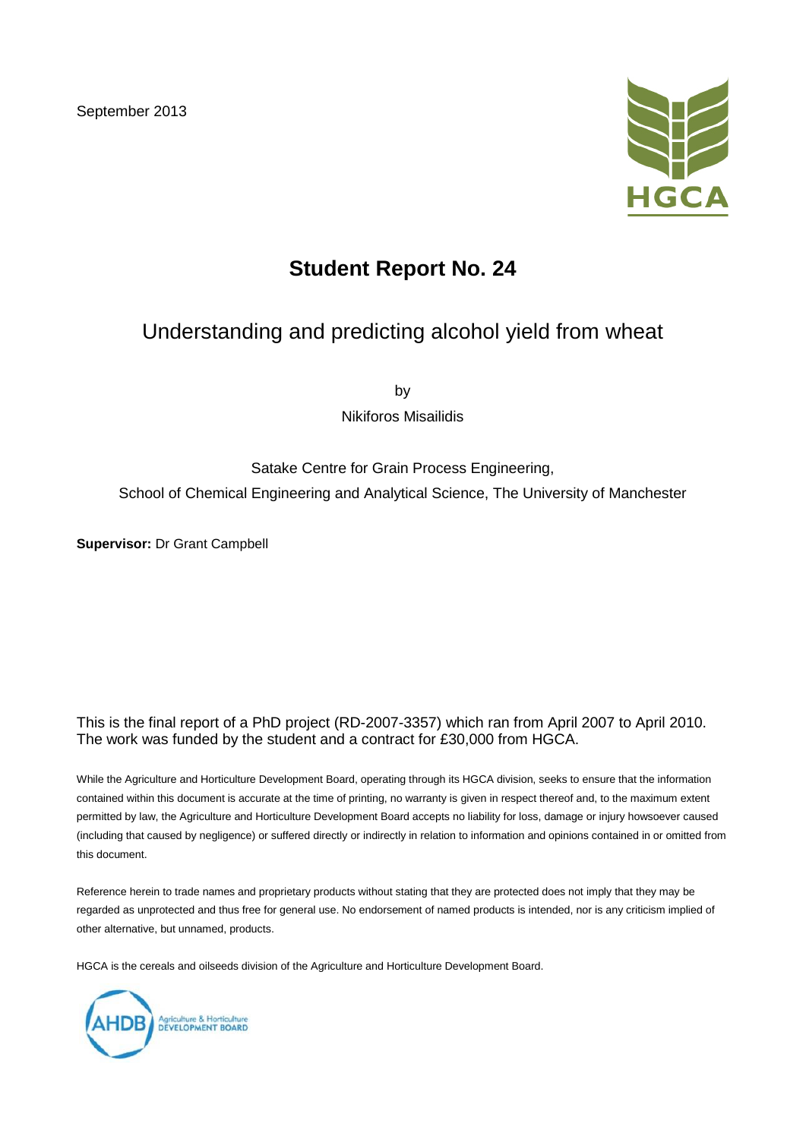September 2013



# **Student Report No. 24**

## Understanding and predicting alcohol yield from wheat

by

Nikiforos Misailidis

## Satake Centre for Grain Process Engineering, School of Chemical Engineering and Analytical Science, The University of Manchester

**Supervisor:** Dr Grant Campbell

#### This is the final report of a PhD project (RD-2007-3357) which ran from April 2007 to April 2010. The work was funded by the student and a contract for £30,000 from HGCA.

While the Agriculture and Horticulture Development Board, operating through its HGCA division, seeks to ensure that the information contained within this document is accurate at the time of printing, no warranty is given in respect thereof and, to the maximum extent permitted by law, the Agriculture and Horticulture Development Board accepts no liability for loss, damage or injury howsoever caused (including that caused by negligence) or suffered directly or indirectly in relation to information and opinions contained in or omitted from this document.

Reference herein to trade names and proprietary products without stating that they are protected does not imply that they may be regarded as unprotected and thus free for general use. No endorsement of named products is intended, nor is any criticism implied of other alternative, but unnamed, products.

HGCA is the cereals and oilseeds division of the Agriculture and Horticulture Development Board.

Agriculture & Horticulture<br>DEVELOPMENT BOARD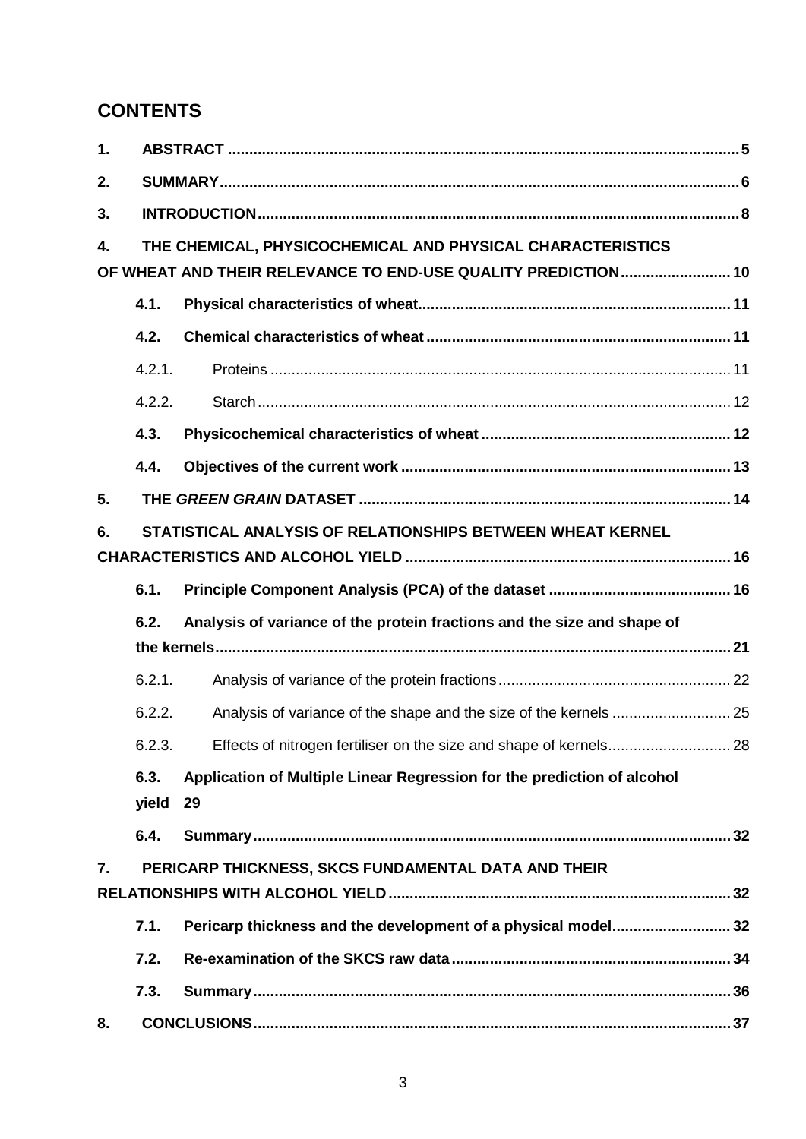## **CONTENTS**

| 1. |        |                                                                         |  |  |  |  |  |  |  |  |  |
|----|--------|-------------------------------------------------------------------------|--|--|--|--|--|--|--|--|--|
| 2. |        |                                                                         |  |  |  |  |  |  |  |  |  |
| 3. |        |                                                                         |  |  |  |  |  |  |  |  |  |
| 4. |        | THE CHEMICAL, PHYSICOCHEMICAL AND PHYSICAL CHARACTERISTICS              |  |  |  |  |  |  |  |  |  |
|    |        | OF WHEAT AND THEIR RELEVANCE TO END-USE QUALITY PREDICTION 10           |  |  |  |  |  |  |  |  |  |
|    | 4.1.   |                                                                         |  |  |  |  |  |  |  |  |  |
|    | 4.2.   |                                                                         |  |  |  |  |  |  |  |  |  |
|    | 4.2.1. |                                                                         |  |  |  |  |  |  |  |  |  |
|    | 4.2.2. |                                                                         |  |  |  |  |  |  |  |  |  |
|    | 4.3.   |                                                                         |  |  |  |  |  |  |  |  |  |
|    | 4.4.   |                                                                         |  |  |  |  |  |  |  |  |  |
| 5. |        |                                                                         |  |  |  |  |  |  |  |  |  |
| 6. |        | STATISTICAL ANALYSIS OF RELATIONSHIPS BETWEEN WHEAT KERNEL              |  |  |  |  |  |  |  |  |  |
|    |        |                                                                         |  |  |  |  |  |  |  |  |  |
|    | 6.1.   |                                                                         |  |  |  |  |  |  |  |  |  |
|    | 6.2.   | Analysis of variance of the protein fractions and the size and shape of |  |  |  |  |  |  |  |  |  |
|    |        |                                                                         |  |  |  |  |  |  |  |  |  |
|    | 6.2.1. |                                                                         |  |  |  |  |  |  |  |  |  |
|    | 6.2.2. |                                                                         |  |  |  |  |  |  |  |  |  |
|    | 6.2.3. |                                                                         |  |  |  |  |  |  |  |  |  |
|    | 6.3.   | Application of Multiple Linear Regression for the prediction of alcohol |  |  |  |  |  |  |  |  |  |
|    | yield  | 29                                                                      |  |  |  |  |  |  |  |  |  |
|    | 6.4.   |                                                                         |  |  |  |  |  |  |  |  |  |
| 7. |        | PERICARP THICKNESS, SKCS FUNDAMENTAL DATA AND THEIR                     |  |  |  |  |  |  |  |  |  |
|    |        |                                                                         |  |  |  |  |  |  |  |  |  |
|    | 7.1.   | Pericarp thickness and the development of a physical model32            |  |  |  |  |  |  |  |  |  |
|    | 7.2.   |                                                                         |  |  |  |  |  |  |  |  |  |
|    | 7.3.   |                                                                         |  |  |  |  |  |  |  |  |  |
| 8. |        |                                                                         |  |  |  |  |  |  |  |  |  |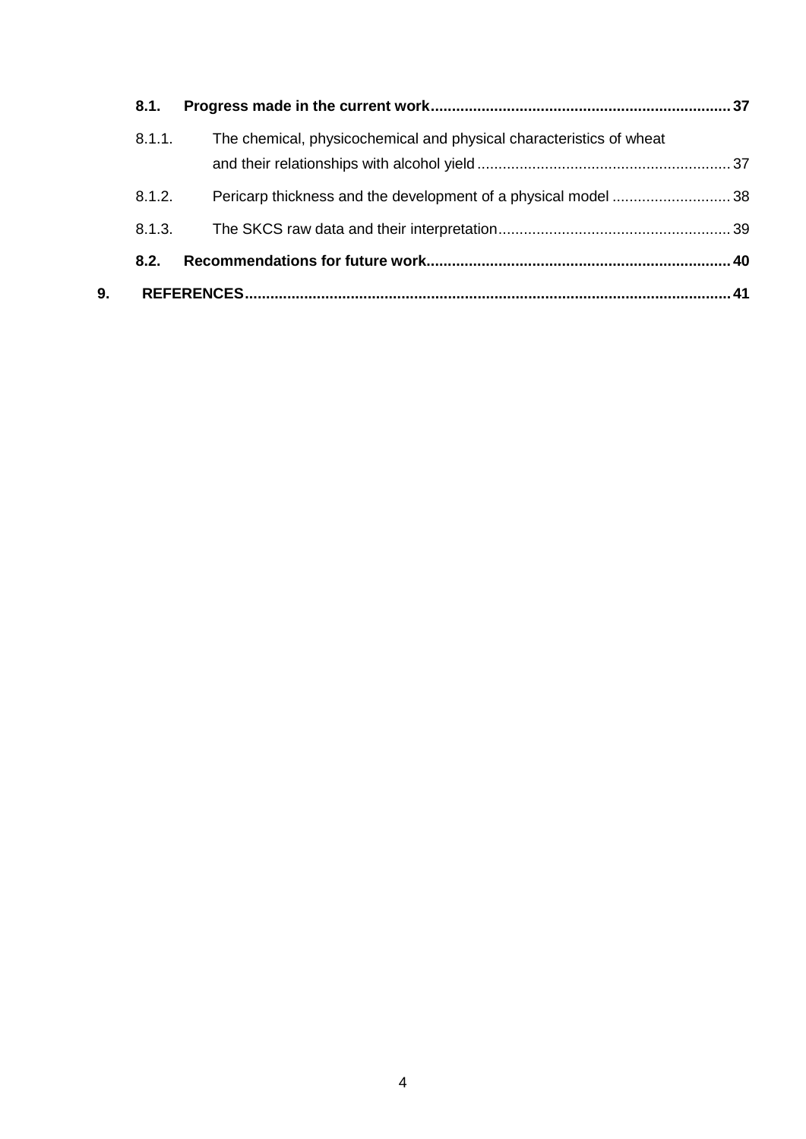| The chemical, physicochemical and physical characteristics of wheat<br>8.1.1.<br>8.1.2.<br>8.1.3.<br>8.2. |      |
|-----------------------------------------------------------------------------------------------------------|------|
|                                                                                                           |      |
|                                                                                                           |      |
|                                                                                                           |      |
|                                                                                                           |      |
| 9.                                                                                                        | . 41 |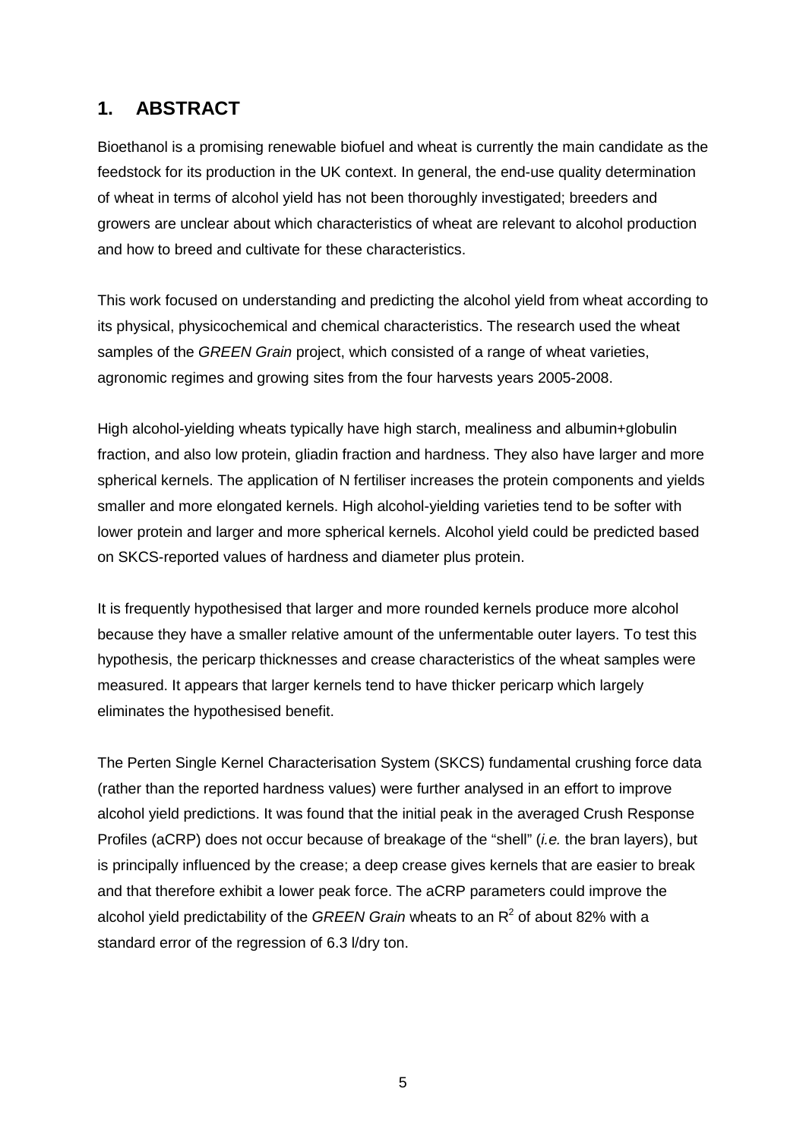## **1. ABSTRACT**

Bioethanol is a promising renewable biofuel and wheat is currently the main candidate as the feedstock for its production in the UK context. In general, the end-use quality determination of wheat in terms of alcohol yield has not been thoroughly investigated; breeders and growers are unclear about which characteristics of wheat are relevant to alcohol production and how to breed and cultivate for these characteristics.

This work focused on understanding and predicting the alcohol yield from wheat according to its physical, physicochemical and chemical characteristics. The research used the wheat samples of the *GREEN Grain* project, which consisted of a range of wheat varieties, agronomic regimes and growing sites from the four harvests years 2005-2008.

High alcohol-yielding wheats typically have high starch, mealiness and albumin+globulin fraction, and also low protein, gliadin fraction and hardness. They also have larger and more spherical kernels. The application of N fertiliser increases the protein components and yields smaller and more elongated kernels. High alcohol-yielding varieties tend to be softer with lower protein and larger and more spherical kernels. Alcohol yield could be predicted based on SKCS-reported values of hardness and diameter plus protein.

It is frequently hypothesised that larger and more rounded kernels produce more alcohol because they have a smaller relative amount of the unfermentable outer layers. To test this hypothesis, the pericarp thicknesses and crease characteristics of the wheat samples were measured. It appears that larger kernels tend to have thicker pericarp which largely eliminates the hypothesised benefit.

The Perten Single Kernel Characterisation System (SKCS) fundamental crushing force data (rather than the reported hardness values) were further analysed in an effort to improve alcohol yield predictions. It was found that the initial peak in the averaged Crush Response Profiles (aCRP) does not occur because of breakage of the "shell" (*i.e.* the bran layers), but is principally influenced by the crease; a deep crease gives kernels that are easier to break and that therefore exhibit a lower peak force. The aCRP parameters could improve the alcohol yield predictability of the *GREEN Grain* wheats to an R<sup>2</sup> of about 82% with a standard error of the regression of 6.3 l/dry ton.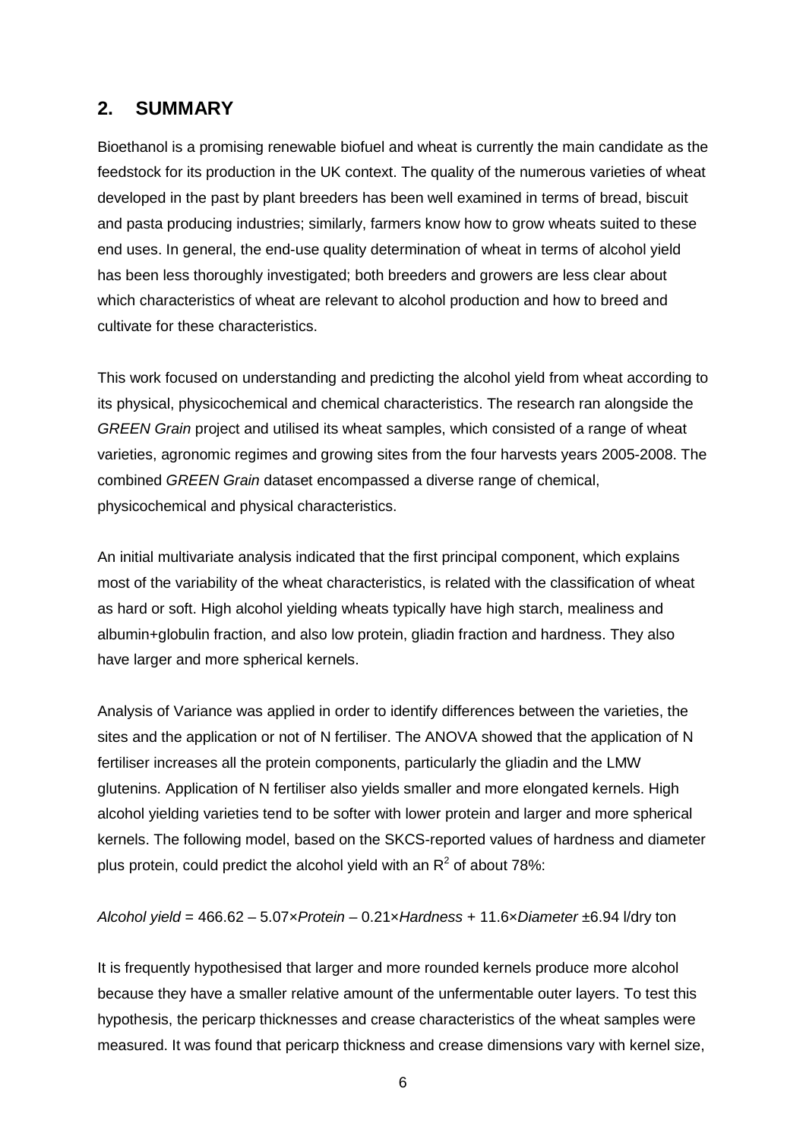### **2. SUMMARY**

Bioethanol is a promising renewable biofuel and wheat is currently the main candidate as the feedstock for its production in the UK context. The quality of the numerous varieties of wheat developed in the past by plant breeders has been well examined in terms of bread, biscuit and pasta producing industries; similarly, farmers know how to grow wheats suited to these end uses. In general, the end-use quality determination of wheat in terms of alcohol yield has been less thoroughly investigated; both breeders and growers are less clear about which characteristics of wheat are relevant to alcohol production and how to breed and cultivate for these characteristics.

This work focused on understanding and predicting the alcohol yield from wheat according to its physical, physicochemical and chemical characteristics. The research ran alongside the *GREEN Grain* project and utilised its wheat samples, which consisted of a range of wheat varieties, agronomic regimes and growing sites from the four harvests years 2005-2008. The combined *GREEN Grain* dataset encompassed a diverse range of chemical, physicochemical and physical characteristics.

An initial multivariate analysis indicated that the first principal component, which explains most of the variability of the wheat characteristics, is related with the classification of wheat as hard or soft. High alcohol yielding wheats typically have high starch, mealiness and albumin+globulin fraction, and also low protein, gliadin fraction and hardness. They also have larger and more spherical kernels.

Analysis of Variance was applied in order to identify differences between the varieties, the sites and the application or not of N fertiliser. The ANOVA showed that the application of N fertiliser increases all the protein components, particularly the gliadin and the LMW glutenins. Application of N fertiliser also yields smaller and more elongated kernels. High alcohol yielding varieties tend to be softer with lower protein and larger and more spherical kernels. The following model, based on the SKCS-reported values of hardness and diameter plus protein, could predict the alcohol yield with an  $R^2$  of about 78%:

#### *Alcohol yield* = 466.62 – 5.07×*Protein* – 0.21×*Hardness* + 11.6×*Diameter* ±6.94 l/dry ton

It is frequently hypothesised that larger and more rounded kernels produce more alcohol because they have a smaller relative amount of the unfermentable outer layers. To test this hypothesis, the pericarp thicknesses and crease characteristics of the wheat samples were measured. It was found that pericarp thickness and crease dimensions vary with kernel size,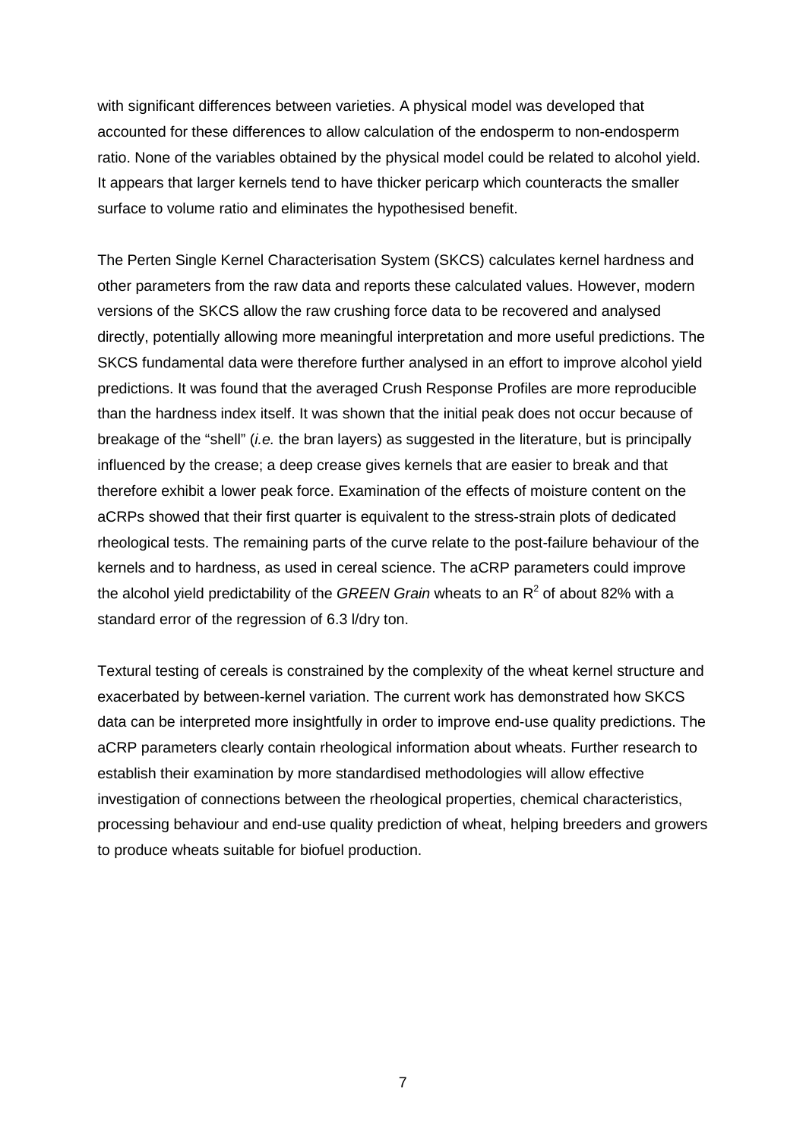with significant differences between varieties. A physical model was developed that accounted for these differences to allow calculation of the endosperm to non-endosperm ratio. None of the variables obtained by the physical model could be related to alcohol yield. It appears that larger kernels tend to have thicker pericarp which counteracts the smaller surface to volume ratio and eliminates the hypothesised benefit.

The Perten Single Kernel Characterisation System (SKCS) calculates kernel hardness and other parameters from the raw data and reports these calculated values. However, modern versions of the SKCS allow the raw crushing force data to be recovered and analysed directly, potentially allowing more meaningful interpretation and more useful predictions. The SKCS fundamental data were therefore further analysed in an effort to improve alcohol yield predictions. It was found that the averaged Crush Response Profiles are more reproducible than the hardness index itself. It was shown that the initial peak does not occur because of breakage of the "shell" (*i.e.* the bran layers) as suggested in the literature, but is principally influenced by the crease; a deep crease gives kernels that are easier to break and that therefore exhibit a lower peak force. Examination of the effects of moisture content on the aCRPs showed that their first quarter is equivalent to the stress-strain plots of dedicated rheological tests. The remaining parts of the curve relate to the post-failure behaviour of the kernels and to hardness, as used in cereal science. The aCRP parameters could improve the alcohol yield predictability of the *GREEN Grain* wheats to an R<sup>2</sup> of about 82% with a standard error of the regression of 6.3 l/dry ton.

Textural testing of cereals is constrained by the complexity of the wheat kernel structure and exacerbated by between-kernel variation. The current work has demonstrated how SKCS data can be interpreted more insightfully in order to improve end-use quality predictions. The aCRP parameters clearly contain rheological information about wheats. Further research to establish their examination by more standardised methodologies will allow effective investigation of connections between the rheological properties, chemical characteristics, processing behaviour and end-use quality prediction of wheat, helping breeders and growers to produce wheats suitable for biofuel production.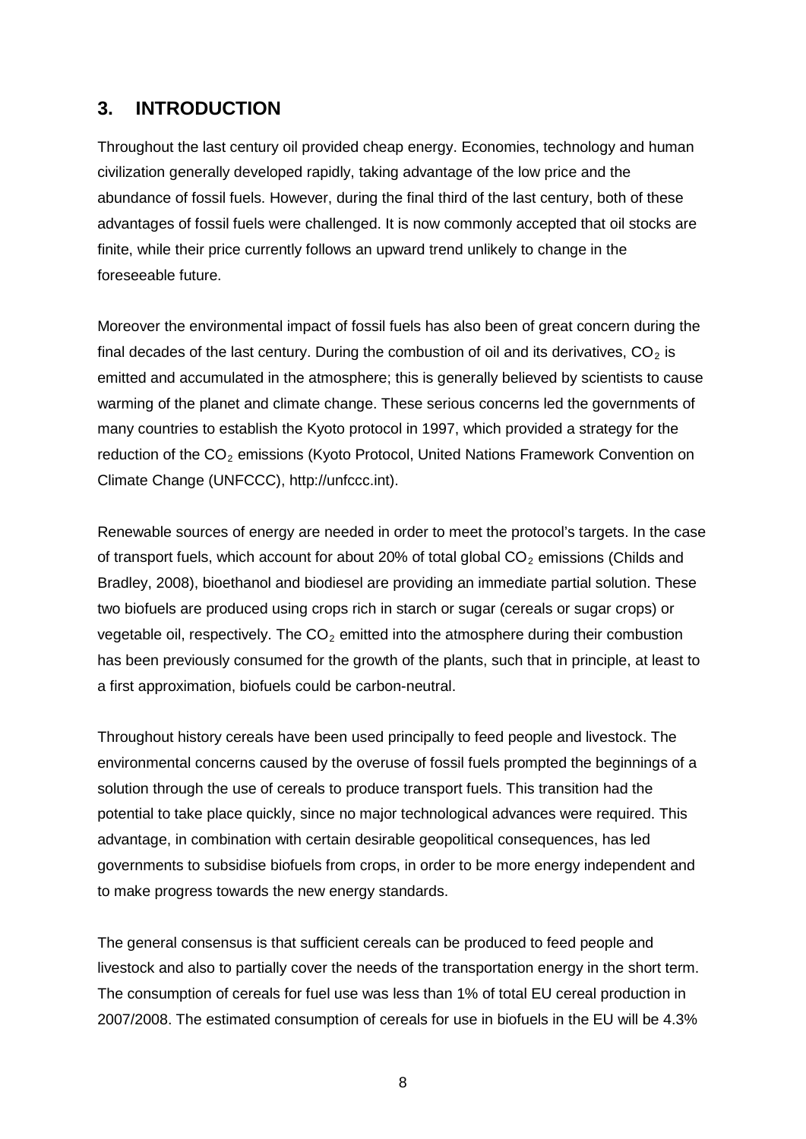### **3. INTRODUCTION**

Throughout the last century oil provided cheap energy. Economies, technology and human civilization generally developed rapidly, taking advantage of the low price and the abundance of fossil fuels. However, during the final third of the last century, both of these advantages of fossil fuels were challenged. It is now commonly accepted that oil stocks are finite, while their price currently follows an upward trend unlikely to change in the foreseeable future.

Moreover the environmental impact of fossil fuels has also been of great concern during the final decades of the last century. During the combustion of oil and its derivatives,  $CO<sub>2</sub>$  is emitted and accumulated in the atmosphere; this is generally believed by scientists to cause warming of the planet and climate change. These serious concerns led the governments of many countries to establish the Kyoto protocol in 1997, which provided a strategy for the reduction of the  $CO<sub>2</sub>$  emissions (Kyoto Protocol, United Nations Framework Convention on Climate Change (UNFCCC), [http://unfccc.int\)](http://unfccc.int/).

Renewable sources of energy are needed in order to meet the protocol's targets. In the case of transport fuels, which account for about 20% of total global  $CO<sub>2</sub>$  emissions (Childs and Bradley, 2008), bioethanol and biodiesel are providing an immediate partial solution. These two biofuels are produced using crops rich in starch or sugar (cereals or sugar crops) or vegetable oil, respectively. The  $CO<sub>2</sub>$  emitted into the atmosphere during their combustion has been previously consumed for the growth of the plants, such that in principle, at least to a first approximation, biofuels could be carbon-neutral.

Throughout history cereals have been used principally to feed people and livestock. The environmental concerns caused by the overuse of fossil fuels prompted the beginnings of a solution through the use of cereals to produce transport fuels. This transition had the potential to take place quickly, since no major technological advances were required. This advantage, in combination with certain desirable geopolitical consequences, has led governments to subsidise biofuels from crops, in order to be more energy independent and to make progress towards the new energy standards.

The general consensus is that sufficient cereals can be produced to feed people and livestock and also to partially cover the needs of the transportation energy in the short term. The consumption of cereals for fuel use was less than 1% of total EU cereal production in 2007/2008. The estimated consumption of cereals for use in biofuels in the EU will be 4.3%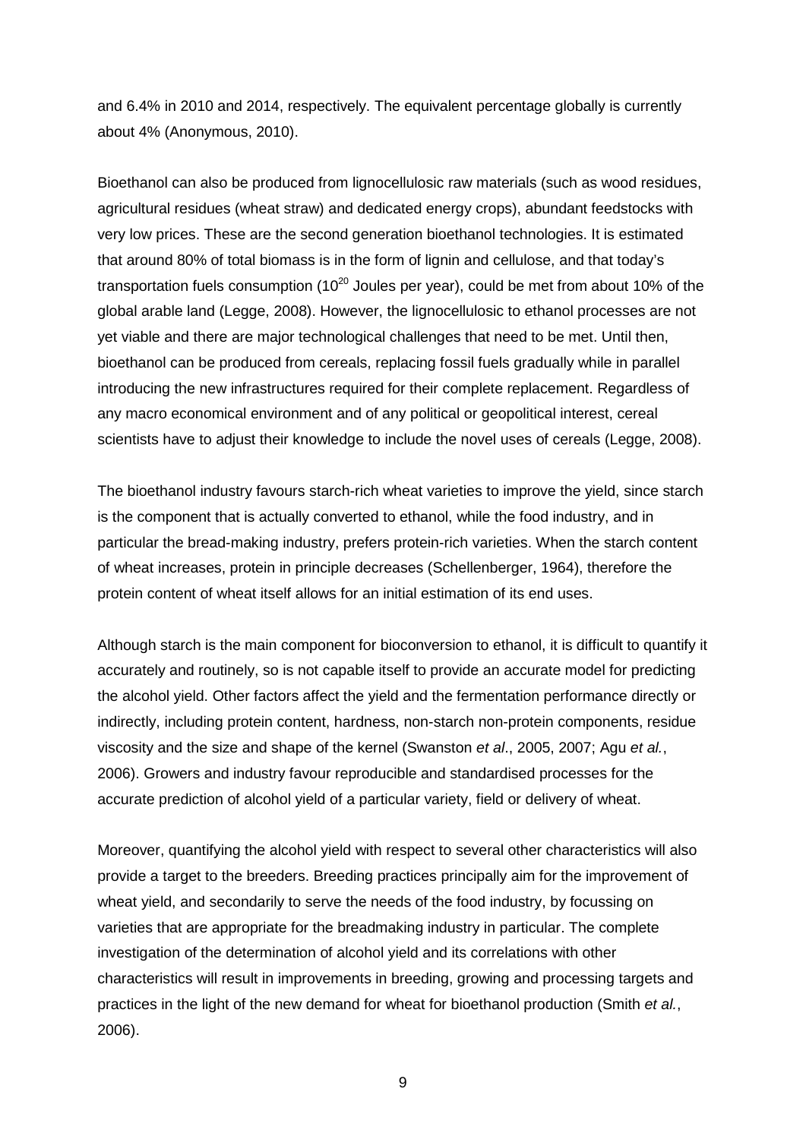and 6.4% in 2010 and 2014, respectively. The equivalent percentage globally is currently about 4% (Anonymous, 2010).

Bioethanol can also be produced from lignocellulosic raw materials (such as wood residues, agricultural residues (wheat straw) and dedicated energy crops), abundant feedstocks with very low prices. These are the second generation bioethanol technologies. It is estimated that around 80% of total biomass is in the form of lignin and cellulose, and that today's transportation fuels consumption  $(10^{20}$  Joules per year), could be met from about 10% of the global arable land (Legge, 2008). However, the lignocellulosic to ethanol processes are not yet viable and there are major technological challenges that need to be met. Until then, bioethanol can be produced from cereals, replacing fossil fuels gradually while in parallel introducing the new infrastructures required for their complete replacement. Regardless of any macro economical environment and of any political or geopolitical interest, cereal scientists have to adjust their knowledge to include the novel uses of cereals (Legge, 2008).

The bioethanol industry favours starch-rich wheat varieties to improve the yield, since starch is the component that is actually converted to ethanol, while the food industry, and in particular the bread-making industry, prefers protein-rich varieties. When the starch content of wheat increases, protein in principle decreases (Schellenberger, 1964), therefore the protein content of wheat itself allows for an initial estimation of its end uses.

Although starch is the main component for bioconversion to ethanol, it is difficult to quantify it accurately and routinely, so is not capable itself to provide an accurate model for predicting the alcohol yield. Other factors affect the yield and the fermentation performance directly or indirectly, including protein content, hardness, non-starch non-protein components, residue viscosity and the size and shape of the kernel (Swanston *et al*., 2005, 2007; Agu *et al.*, 2006). Growers and industry favour reproducible and standardised processes for the accurate prediction of alcohol yield of a particular variety, field or delivery of wheat.

Moreover, quantifying the alcohol yield with respect to several other characteristics will also provide a target to the breeders. Breeding practices principally aim for the improvement of wheat yield, and secondarily to serve the needs of the food industry, by focussing on varieties that are appropriate for the breadmaking industry in particular. The complete investigation of the determination of alcohol yield and its correlations with other characteristics will result in improvements in breeding, growing and processing targets and practices in the light of the new demand for wheat for bioethanol production (Smith *et al.*, 2006).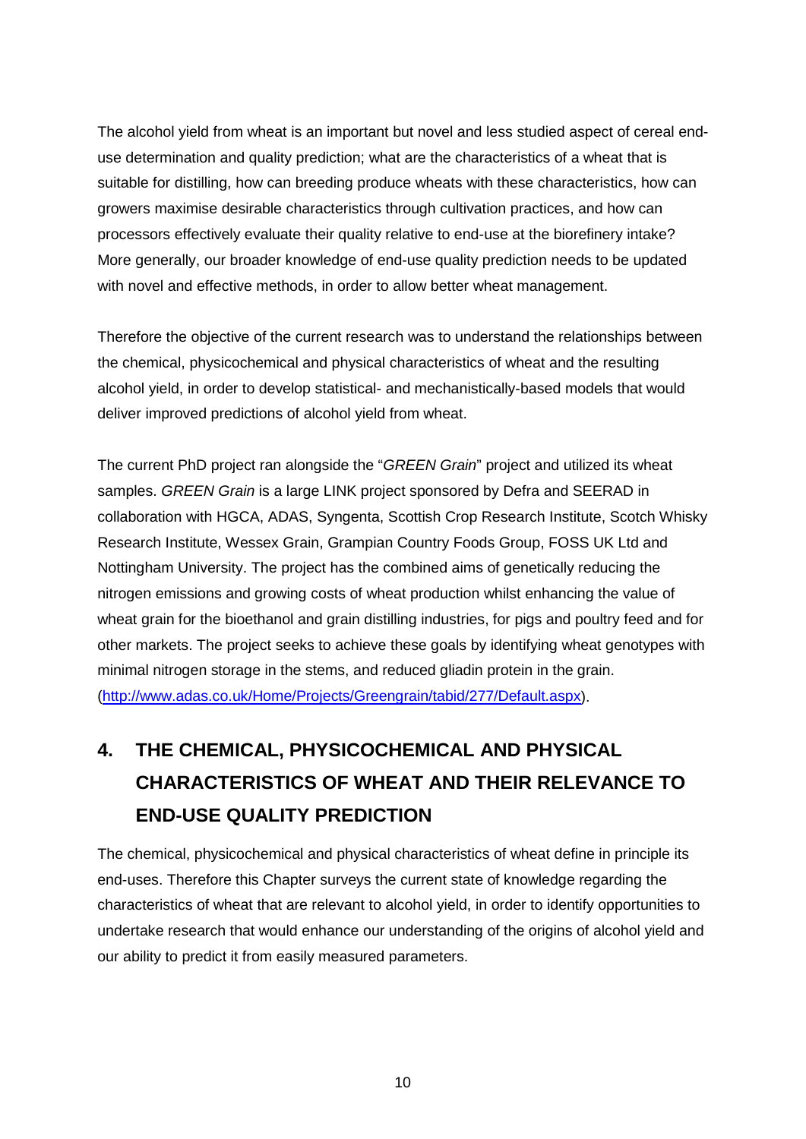The alcohol yield from wheat is an important but novel and less studied aspect of cereal enduse determination and quality prediction; what are the characteristics of a wheat that is suitable for distilling, how can breeding produce wheats with these characteristics, how can growers maximise desirable characteristics through cultivation practices, and how can processors effectively evaluate their quality relative to end-use at the biorefinery intake? More generally, our broader knowledge of end-use quality prediction needs to be updated with novel and effective methods, in order to allow better wheat management.

Therefore the objective of the current research was to understand the relationships between the chemical, physicochemical and physical characteristics of wheat and the resulting alcohol yield, in order to develop statistical- and mechanistically-based models that would deliver improved predictions of alcohol yield from wheat.

The current PhD project ran alongside the "*GREEN Grain*" project and utilized its wheat samples. *GREEN Grain* is a large LINK project sponsored by Defra and SEERAD in collaboration with HGCA, ADAS, Syngenta, Scottish Crop Research Institute, Scotch Whisky Research Institute, Wessex Grain, Grampian Country Foods Group, FOSS UK Ltd and Nottingham University. The project has the combined aims of genetically reducing the nitrogen emissions and growing costs of wheat production whilst enhancing the value of wheat grain for the bioethanol and grain distilling industries, for pigs and poultry feed and for other markets. The project seeks to achieve these goals by identifying wheat genotypes with minimal nitrogen storage in the stems, and reduced gliadin protein in the grain. [\(http://www.adas.co.uk/Home/Projects/Greengrain/tabid/277/Default.aspx\)](http://www.adas.co.uk/Home/Projects/Greengrain/tabid/277/Default.aspx).

# **4. THE CHEMICAL, PHYSICOCHEMICAL AND PHYSICAL CHARACTERISTICS OF WHEAT AND THEIR RELEVANCE TO END-USE QUALITY PREDICTION**

The chemical, physicochemical and physical characteristics of wheat define in principle its end-uses. Therefore this Chapter surveys the current state of knowledge regarding the characteristics of wheat that are relevant to alcohol yield, in order to identify opportunities to undertake research that would enhance our understanding of the origins of alcohol yield and our ability to predict it from easily measured parameters.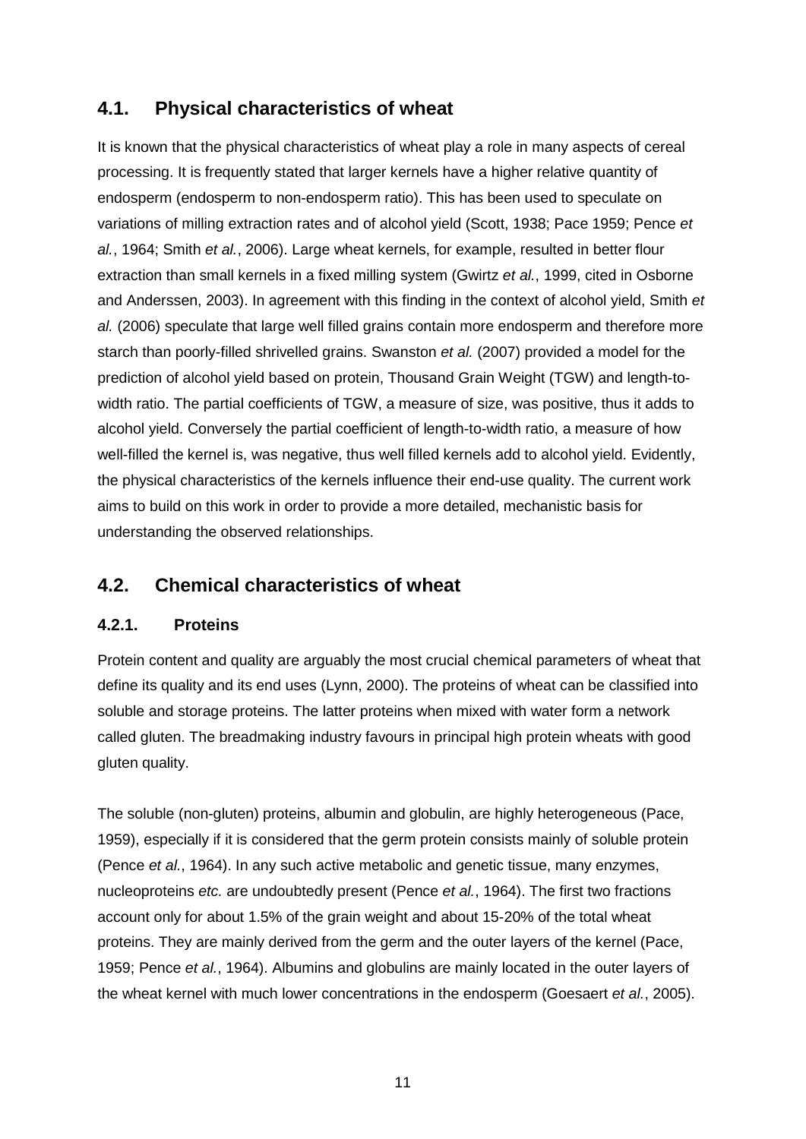## **4.1. Physical characteristics of wheat**

It is known that the physical characteristics of wheat play a role in many aspects of cereal processing. It is frequently stated that larger kernels have a higher relative quantity of endosperm (endosperm to non-endosperm ratio). This has been used to speculate on variations of milling extraction rates and of alcohol yield (Scott, 1938; Pace 1959; Pence *et al.*, 1964; Smith *et al.*, 2006). Large wheat kernels, for example, resulted in better flour extraction than small kernels in a fixed milling system (Gwirtz *et al.*, 1999, cited in Osborne and Anderssen, 2003). In agreement with this finding in the context of alcohol yield, Smith *et al.* (2006) speculate that large well filled grains contain more endosperm and therefore more starch than poorly-filled shrivelled grains. Swanston *et al.* (2007) provided a model for the prediction of alcohol yield based on protein, Thousand Grain Weight (TGW) and length-towidth ratio. The partial coefficients of TGW, a measure of size, was positive, thus it adds to alcohol yield. Conversely the partial coefficient of length-to-width ratio, a measure of how well-filled the kernel is, was negative, thus well filled kernels add to alcohol yield. Evidently, the physical characteristics of the kernels influence their end-use quality. The current work aims to build on this work in order to provide a more detailed, mechanistic basis for understanding the observed relationships.

## **4.2. Chemical characteristics of wheat**

### **4.2.1. Proteins**

Protein content and quality are arguably the most crucial chemical parameters of wheat that define its quality and its end uses (Lynn, 2000). The proteins of wheat can be classified into soluble and storage proteins. The latter proteins when mixed with water form a network called gluten. The breadmaking industry favours in principal high protein wheats with good gluten quality.

The soluble (non-gluten) proteins, albumin and globulin, are highly heterogeneous (Pace, 1959), especially if it is considered that the germ protein consists mainly of soluble protein (Pence *et al.*, 1964). In any such active metabolic and genetic tissue, many enzymes, nucleoproteins *etc.* are undoubtedly present (Pence *et al.*, 1964). The first two fractions account only for about 1.5% of the grain weight and about 15-20% of the total wheat proteins. They are mainly derived from the germ and the outer layers of the kernel (Pace, 1959; Pence *et al.*, 1964). Albumins and globulins are mainly located in the outer layers of the wheat kernel with much lower concentrations in the endosperm (Goesaert *et al.*, 2005).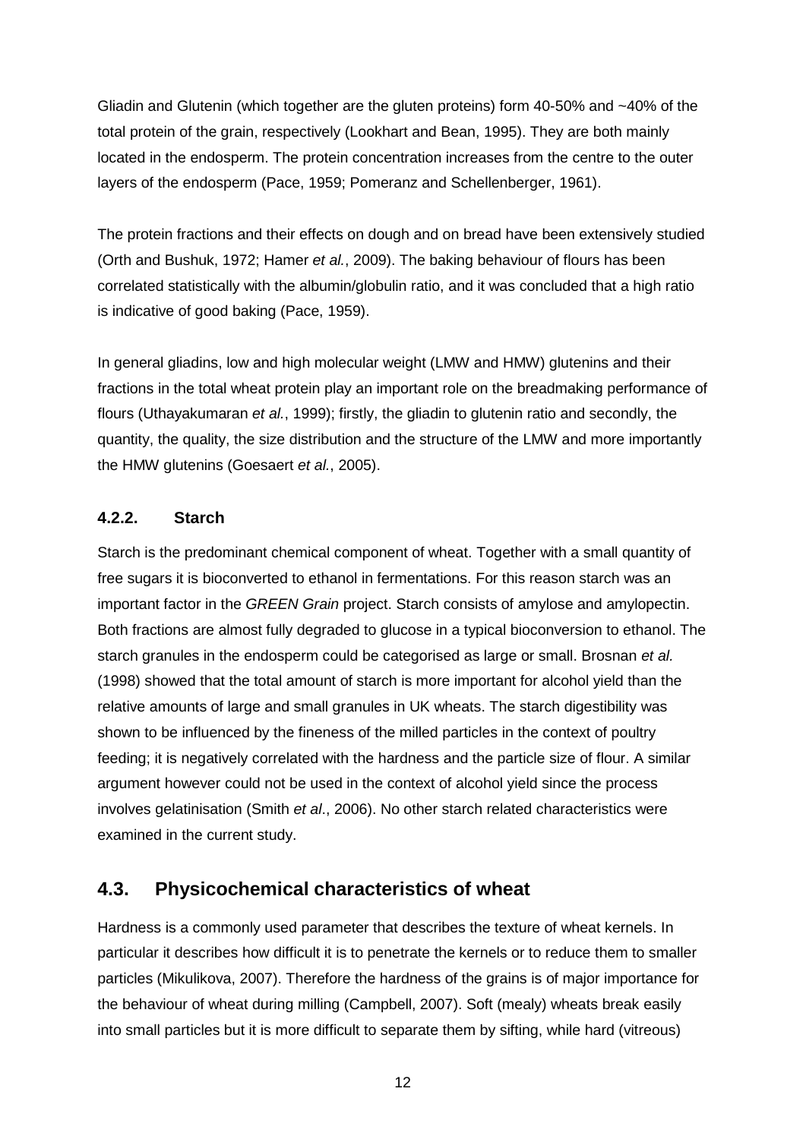Gliadin and Glutenin (which together are the gluten proteins) form 40-50% and ~40% of the total protein of the grain, respectively (Lookhart and Bean, 1995). They are both mainly located in the endosperm. The protein concentration increases from the centre to the outer layers of the endosperm (Pace, 1959; Pomeranz and Schellenberger, 1961).

The protein fractions and their effects on dough and on bread have been extensively studied (Orth and Bushuk, 1972; Hamer *et al.*, 2009). The baking behaviour of flours has been correlated statistically with the albumin/globulin ratio, and it was concluded that a high ratio is indicative of good baking (Pace, 1959).

In general gliadins, low and high molecular weight (LMW and HMW) glutenins and their fractions in the total wheat protein play an important role on the breadmaking performance of flours (Uthayakumaran *et al.*, 1999); firstly, the gliadin to glutenin ratio and secondly, the quantity, the quality, the size distribution and the structure of the LMW and more importantly the HMW glutenins (Goesaert *et al.*, 2005).

#### **4.2.2. Starch**

Starch is the predominant chemical component of wheat. Together with a small quantity of free sugars it is bioconverted to ethanol in fermentations. For this reason starch was an important factor in the *GREEN Grain* project. Starch consists of amylose and amylopectin. Both fractions are almost fully degraded to glucose in a typical bioconversion to ethanol. The starch granules in the endosperm could be categorised as large or small. Brosnan *et al.* (1998) showed that the total amount of starch is more important for alcohol yield than the relative amounts of large and small granules in UK wheats. The starch digestibility was shown to be influenced by the fineness of the milled particles in the context of poultry feeding; it is negatively correlated with the hardness and the particle size of flour. A similar argument however could not be used in the context of alcohol yield since the process involves gelatinisation (Smith *et al*., 2006). No other starch related characteristics were examined in the current study.

### **4.3. Physicochemical characteristics of wheat**

Hardness is a commonly used parameter that describes the texture of wheat kernels. In particular it describes how difficult it is to penetrate the kernels or to reduce them to smaller particles (Mikulikova, 2007). Therefore the hardness of the grains is of major importance for the behaviour of wheat during milling (Campbell, 2007). Soft (mealy) wheats break easily into small particles but it is more difficult to separate them by sifting, while hard (vitreous)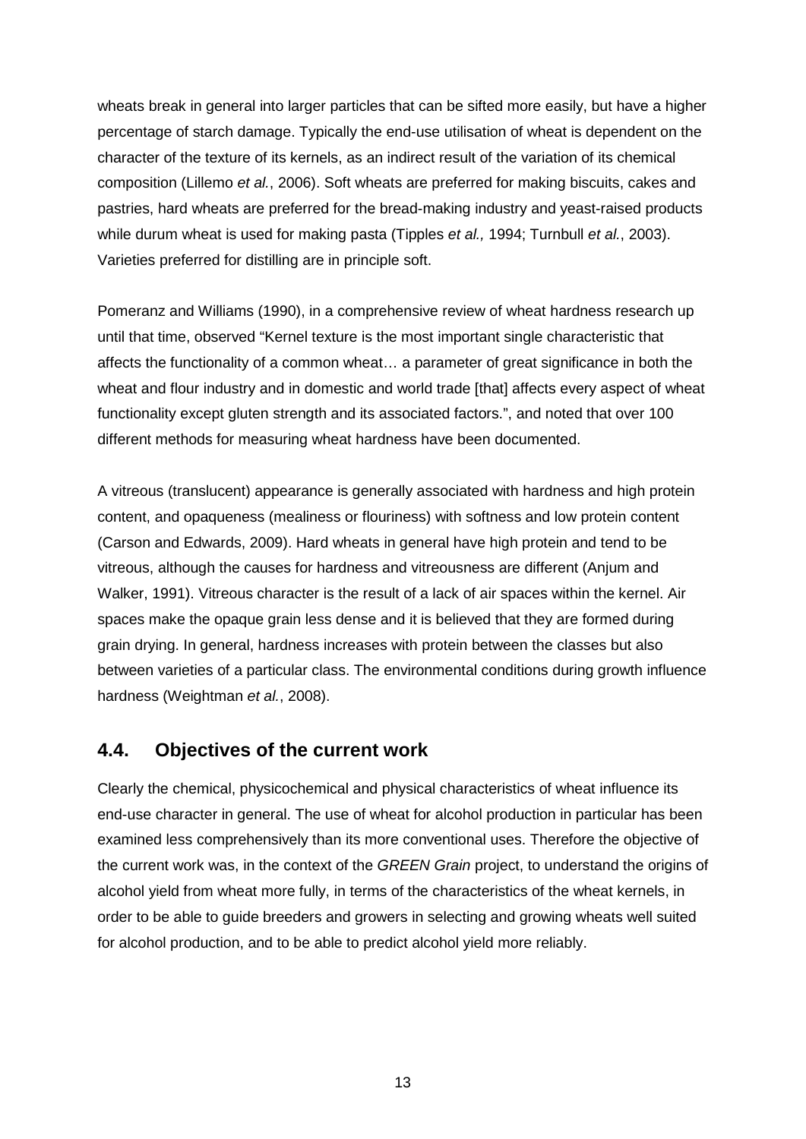wheats break in general into larger particles that can be sifted more easily, but have a higher percentage of starch damage. Typically the end-use utilisation of wheat is dependent on the character of the texture of its kernels, as an indirect result of the variation of its chemical composition (Lillemo *et al.*, 2006). Soft wheats are preferred for making biscuits, cakes and pastries, hard wheats are preferred for the bread-making industry and yeast-raised products while durum wheat is used for making pasta (Tipples *et al.,* 1994; Turnbull *et al.*, 2003). Varieties preferred for distilling are in principle soft.

Pomeranz and Williams (1990), in a comprehensive review of wheat hardness research up until that time, observed "Kernel texture is the most important single characteristic that affects the functionality of a common wheat… a parameter of great significance in both the wheat and flour industry and in domestic and world trade [that] affects every aspect of wheat functionality except gluten strength and its associated factors.", and noted that over 100 different methods for measuring wheat hardness have been documented.

A vitreous (translucent) appearance is generally associated with hardness and high protein content, and opaqueness (mealiness or flouriness) with softness and low protein content (Carson and Edwards, 2009). Hard wheats in general have high protein and tend to be vitreous, although the causes for hardness and vitreousness are different (Anjum and Walker, 1991). Vitreous character is the result of a lack of air spaces within the kernel. Air spaces make the opaque grain less dense and it is believed that they are formed during grain drying. In general, hardness increases with protein between the classes but also between varieties of a particular class. The environmental conditions during growth influence hardness (Weightman *et al.*, 2008).

### **4.4. Objectives of the current work**

Clearly the chemical, physicochemical and physical characteristics of wheat influence its end-use character in general. The use of wheat for alcohol production in particular has been examined less comprehensively than its more conventional uses. Therefore the objective of the current work was, in the context of the *GREEN Grain* project, to understand the origins of alcohol yield from wheat more fully, in terms of the characteristics of the wheat kernels, in order to be able to guide breeders and growers in selecting and growing wheats well suited for alcohol production, and to be able to predict alcohol yield more reliably.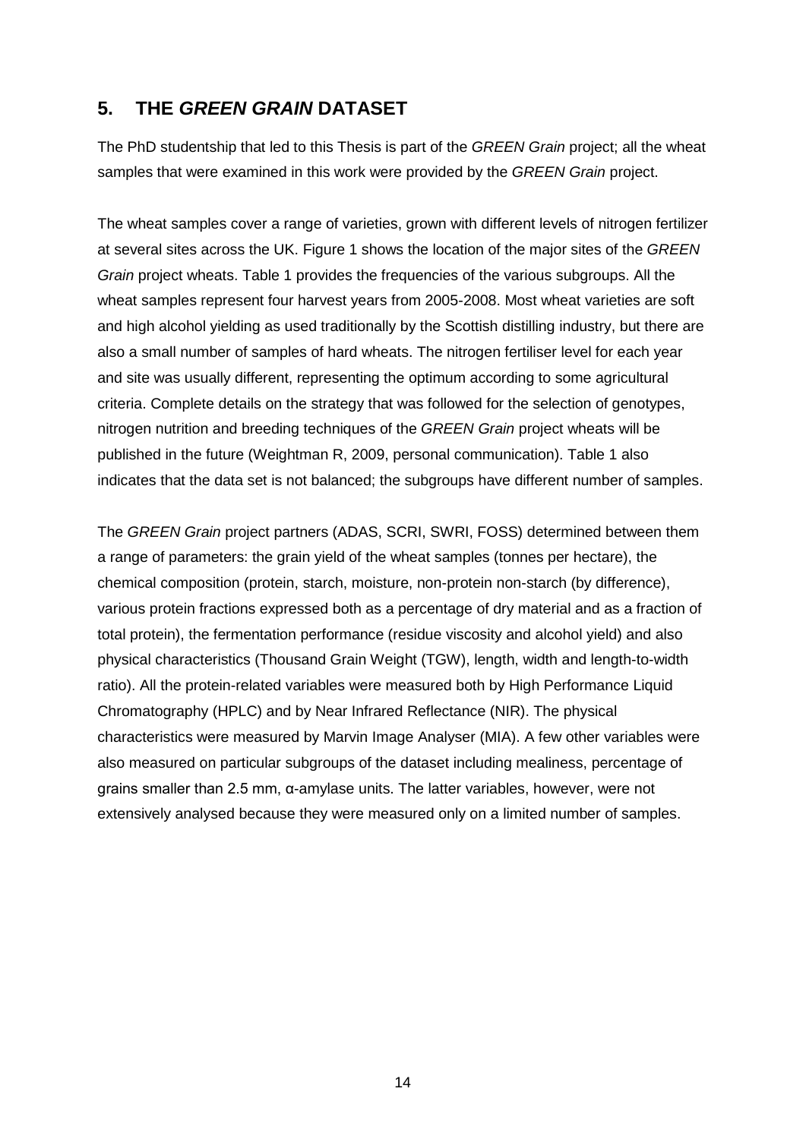## **5. THE** *GREEN GRAIN* **DATASET**

The PhD studentship that led to this Thesis is part of the *GREEN Grain* project; all the wheat samples that were examined in this work were provided by the *GREEN Grain* project.

The wheat samples cover a range of varieties, grown with different levels of nitrogen fertilizer at several sites across the UK. Figure 1 shows the location of the major sites of the *GREEN Grain* project wheats. Table 1 provides the frequencies of the various subgroups. All the wheat samples represent four harvest years from 2005-2008. Most wheat varieties are soft and high alcohol yielding as used traditionally by the Scottish distilling industry, but there are also a small number of samples of hard wheats. The nitrogen fertiliser level for each year and site was usually different, representing the optimum according to some agricultural criteria. Complete details on the strategy that was followed for the selection of genotypes, nitrogen nutrition and breeding techniques of the *GREEN Grain* project wheats will be published in the future (Weightman R, 2009, personal communication). Table 1 also indicates that the data set is not balanced; the subgroups have different number of samples.

The *GREEN Grain* project partners (ADAS, SCRI, SWRI, FOSS) determined between them a range of parameters: the grain yield of the wheat samples (tonnes per hectare), the chemical composition (protein, starch, moisture, non-protein non-starch (by difference), various protein fractions expressed both as a percentage of dry material and as a fraction of total protein), the fermentation performance (residue viscosity and alcohol yield) and also physical characteristics (Thousand Grain Weight (TGW), length, width and length-to-width ratio). All the protein-related variables were measured both by High Performance Liquid Chromatography (HPLC) and by Near Infrared Reflectance (NIR). The physical characteristics were measured by Marvin Image Analyser (MIA). A few other variables were also measured on particular subgroups of the dataset including mealiness, percentage of grains smaller than 2.5 mm, α-amylase units. The latter variables, however, were not extensively analysed because they were measured only on a limited number of samples.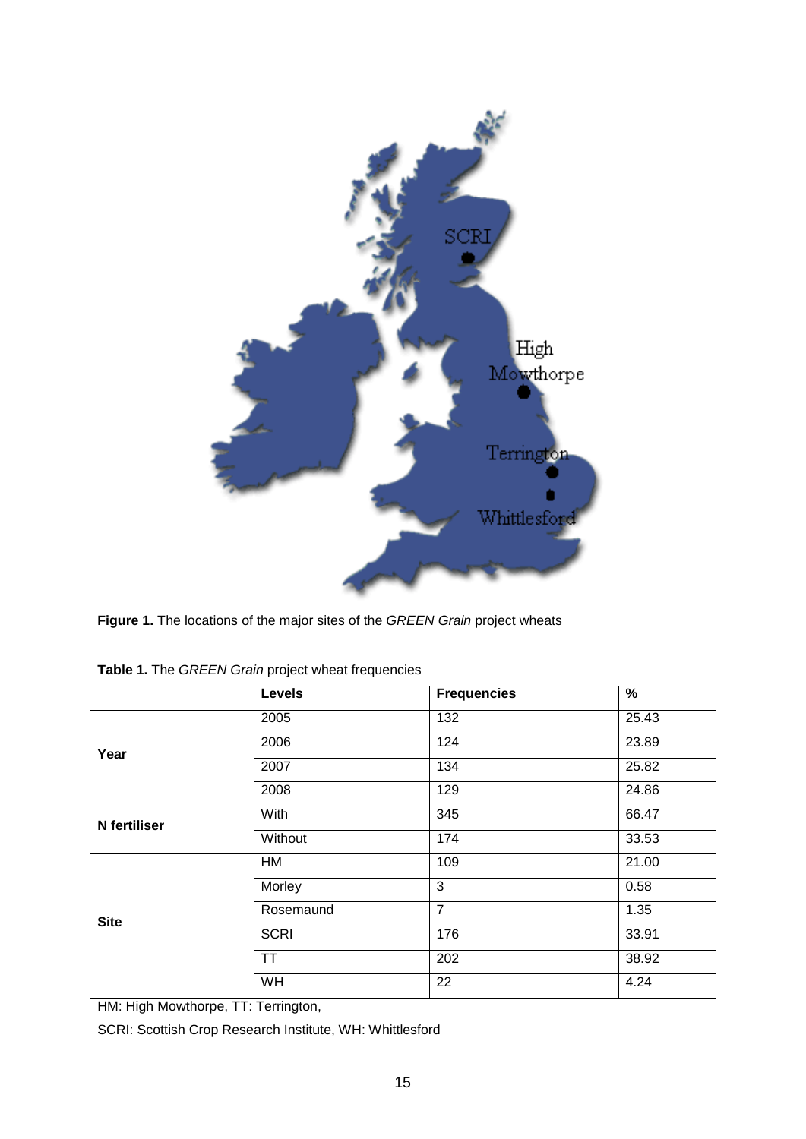

**Figure 1.** The locations of the major sites of the *GREEN Grain* project wheats

|              | <b>Levels</b> | <b>Frequencies</b> | $\frac{9}{6}$ |  |
|--------------|---------------|--------------------|---------------|--|
|              | 2005          | 132                | 25.43         |  |
| Year         | 2006          | 124                | 23.89         |  |
|              | 2007          | 134                | 25.82         |  |
|              | 2008          | 129                | 24.86         |  |
| N fertiliser | With          | 345                | 66.47         |  |
|              | Without       | 174                | 33.53         |  |
|              | <b>HM</b>     | 109                | 21.00         |  |
|              | Morley        | 3                  | 0.58          |  |
| <b>Site</b>  | Rosemaund     | $\overline{7}$     | 1.35          |  |
|              | <b>SCRI</b>   | 176                | 33.91         |  |
|              | <b>TT</b>     | 202                | 38.92         |  |
|              | WH            | 22                 | 4.24          |  |

**Table 1.** The *GREEN Grain* project wheat frequencies

HM: High Mowthorpe, TT: Terrington,

SCRI: Scottish Crop Research Institute, WH: Whittlesford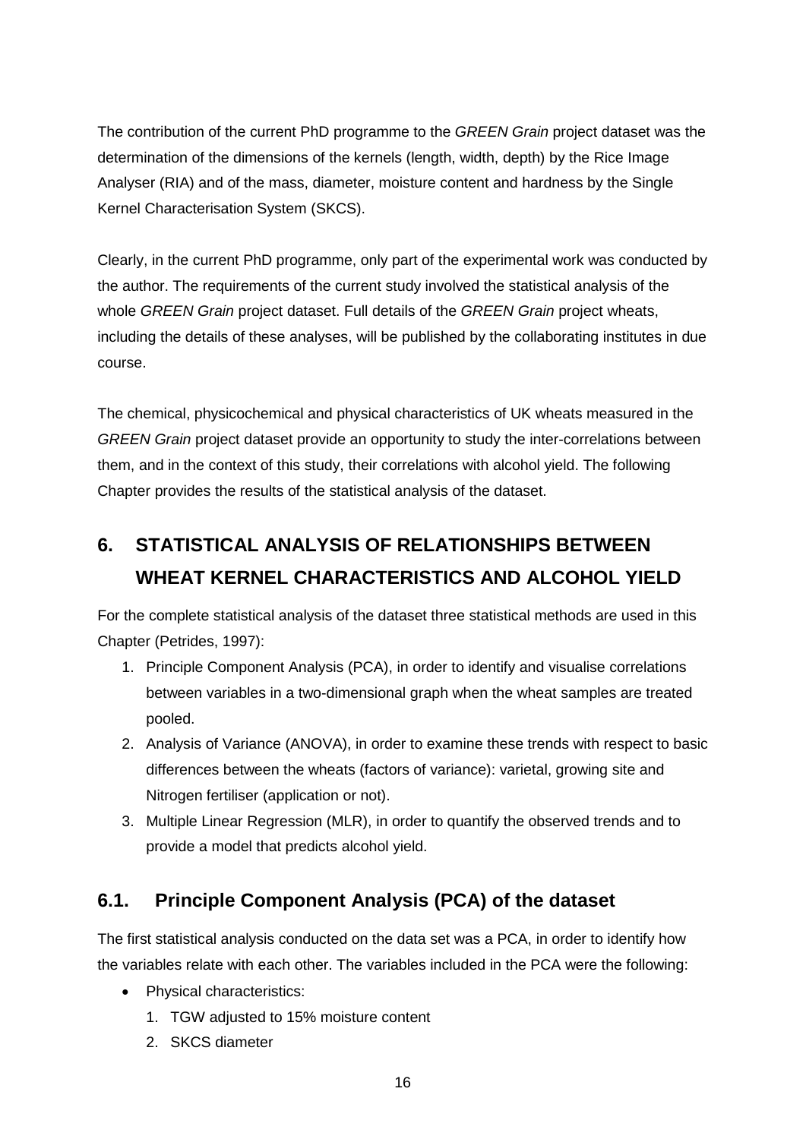The contribution of the current PhD programme to the *GREEN Grain* project dataset was the determination of the dimensions of the kernels (length, width, depth) by the Rice Image Analyser (RIA) and of the mass, diameter, moisture content and hardness by the Single Kernel Characterisation System (SKCS).

Clearly, in the current PhD programme, only part of the experimental work was conducted by the author. The requirements of the current study involved the statistical analysis of the whole *GREEN Grain* project dataset. Full details of the *GREEN Grain* project wheats, including the details of these analyses, will be published by the collaborating institutes in due course.

The chemical, physicochemical and physical characteristics of UK wheats measured in the *GREEN Grain* project dataset provide an opportunity to study the inter-correlations between them, and in the context of this study, their correlations with alcohol yield. The following Chapter provides the results of the statistical analysis of the dataset.

# **6. STATISTICAL ANALYSIS OF RELATIONSHIPS BETWEEN WHEAT KERNEL CHARACTERISTICS AND ALCOHOL YIELD**

For the complete statistical analysis of the dataset three statistical methods are used in this Chapter (Petrides, 1997):

- 1. Principle Component Analysis (PCA), in order to identify and visualise correlations between variables in a two-dimensional graph when the wheat samples are treated pooled.
- 2. Analysis of Variance (ANOVA), in order to examine these trends with respect to basic differences between the wheats (factors of variance): varietal, growing site and Nitrogen fertiliser (application or not).
- 3. Multiple Linear Regression (MLR), in order to quantify the observed trends and to provide a model that predicts alcohol yield.

## **6.1. Principle Component Analysis (PCA) of the dataset**

The first statistical analysis conducted on the data set was a PCA, in order to identify how the variables relate with each other. The variables included in the PCA were the following:

- Physical characteristics:
	- 1. TGW adjusted to 15% moisture content
	- 2. SKCS diameter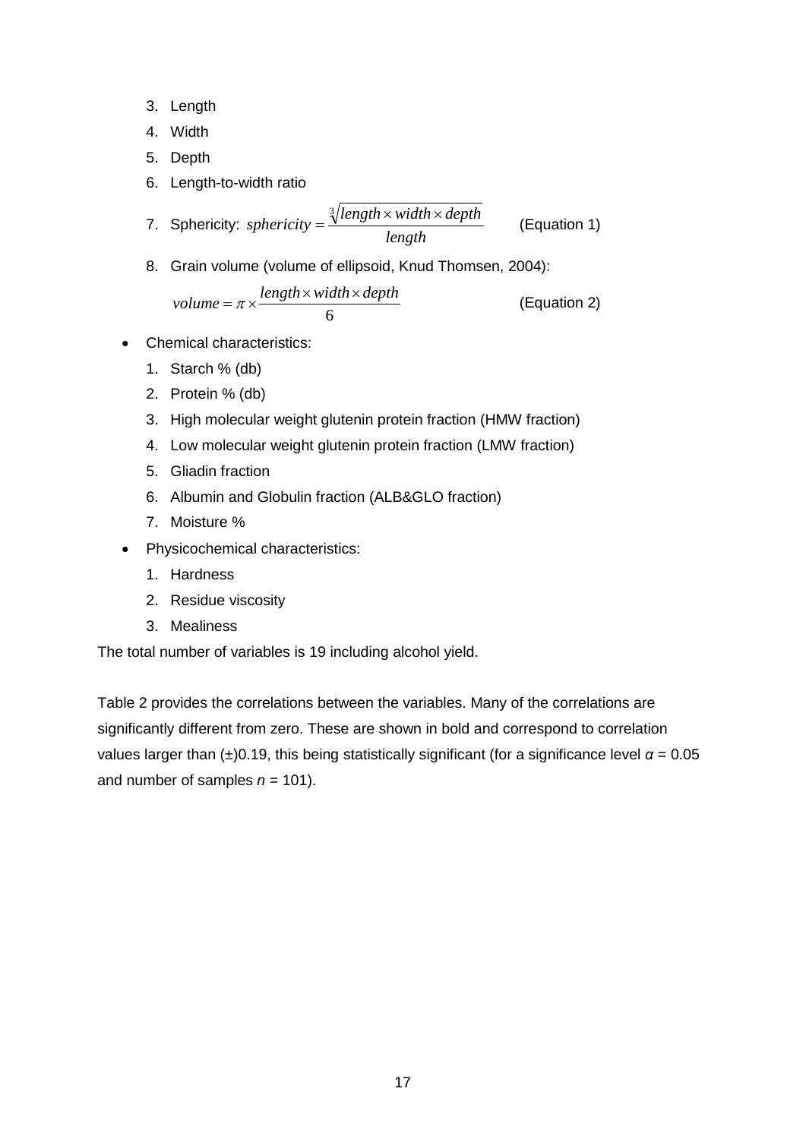- 3. Length
- 4. Width
- 5. Depth
- 6. Length-to-width ratio

7. Sphericity: *sphericity* = 
$$
\frac{\sqrt[3]{length \times width \times depth}}{length}
$$
 (Equation 1)

8. Grain volume (volume of ellipsoid, Knud Thomsen, 2004):

$$
volume = \pi \times \frac{length \times width \times depth}{6}
$$
 (Equation 2)

- Chemical characteristics:
	- 1. Starch % (db)
	- 2. Protein % (db)
	- 3. High molecular weight glutenin protein fraction (HMW fraction)
	- 4. Low molecular weight glutenin protein fraction (LMW fraction)
	- 5. Gliadin fraction
	- 6. Albumin and Globulin fraction (ALB&GLO fraction)
	- 7. Moisture %
- Physicochemical characteristics:
	- 1. Hardness
	- 2. Residue viscosity
	- 3. Mealiness

The total number of variables is 19 including alcohol yield.

Table 2 provides the correlations between the variables. Many of the correlations are significantly different from zero. These are shown in bold and correspond to correlation values larger than  $(\pm)0.19$ , this being statistically significant (for a significance level  $\alpha = 0.05$ ) and number of samples  $n = 101$ ).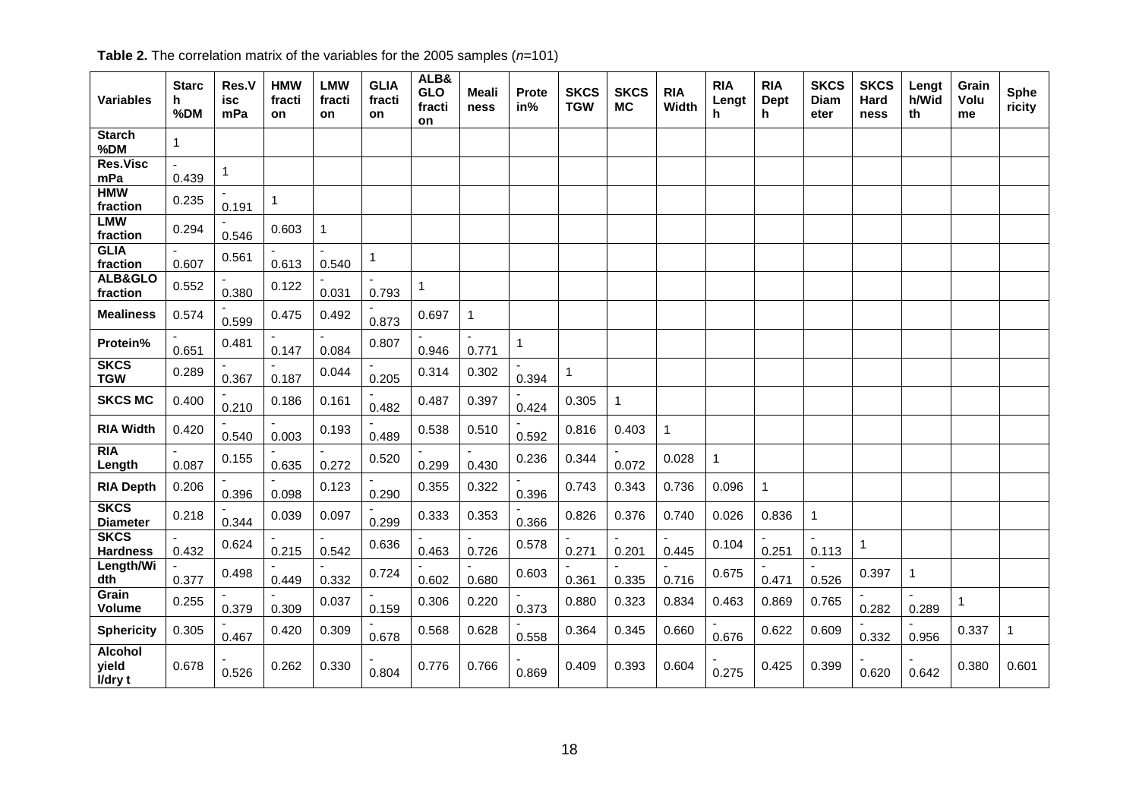| <b>Variables</b>                   | <b>Starc</b><br>h.<br>%DM | Res.V<br>isc<br>mPa | <b>HMW</b><br>fracti<br>on | <b>LMW</b><br>fracti<br><b>on</b> | <b>GLIA</b><br>fracti<br>on | ALB&<br><b>GLO</b><br>fracti<br>on | Meali<br>ness | <b>Prote</b><br>in% | <b>SKCS</b><br><b>TGW</b> | <b>SKCS</b><br><b>MC</b> | <b>RIA</b><br>Width | <b>RIA</b><br>Lengt<br>h. | <b>RIA</b><br>Dept<br>h. | <b>SKCS</b><br>Diam<br>eter | <b>SKCS</b><br>Hard<br>ness | Lengt<br>h/Wid<br>th | Grain<br>Volu<br>me | Sphe<br>ricity |
|------------------------------------|---------------------------|---------------------|----------------------------|-----------------------------------|-----------------------------|------------------------------------|---------------|---------------------|---------------------------|--------------------------|---------------------|---------------------------|--------------------------|-----------------------------|-----------------------------|----------------------|---------------------|----------------|
| Starch<br>%DM                      | $\mathbf{1}$              |                     |                            |                                   |                             |                                    |               |                     |                           |                          |                     |                           |                          |                             |                             |                      |                     |                |
| <b>Res.Visc</b><br>mPa             | 0.439                     | $\mathbf{1}$        |                            |                                   |                             |                                    |               |                     |                           |                          |                     |                           |                          |                             |                             |                      |                     |                |
| <b>HMW</b><br>fraction             | 0.235                     | 0.191               | 1                          |                                   |                             |                                    |               |                     |                           |                          |                     |                           |                          |                             |                             |                      |                     |                |
| <b>LMW</b><br>fraction             | 0.294                     | 0.546               | 0.603                      | $\mathbf{1}$                      |                             |                                    |               |                     |                           |                          |                     |                           |                          |                             |                             |                      |                     |                |
| <b>GLIA</b><br>fraction            | 0.607                     | 0.561               | 0.613                      | 0.540                             | $\mathbf 1$                 |                                    |               |                     |                           |                          |                     |                           |                          |                             |                             |                      |                     |                |
| ALB&GLO<br>fraction                | 0.552                     | 0.380               | 0.122                      | 0.031                             | 0.793                       | $\mathbf{1}$                       |               |                     |                           |                          |                     |                           |                          |                             |                             |                      |                     |                |
| <b>Mealiness</b>                   | 0.574                     | 0.599               | 0.475                      | 0.492                             | 0.873                       | 0.697                              | $\mathbf{1}$  |                     |                           |                          |                     |                           |                          |                             |                             |                      |                     |                |
| <b>Protein%</b>                    | 0.651                     | 0.481               | 0.147                      | 0.084                             | 0.807                       | 0.946                              | 0.771         | $\mathbf{1}$        |                           |                          |                     |                           |                          |                             |                             |                      |                     |                |
| <b>SKCS</b><br><b>TGW</b>          | 0.289                     | 0.367               | 0.187                      | 0.044                             | 0.205                       | 0.314                              | 0.302         | 0.394               | $\mathbf{1}$              |                          |                     |                           |                          |                             |                             |                      |                     |                |
| <b>SKCS MC</b>                     | 0.400                     | 0.210               | 0.186                      | 0.161                             | 0.482                       | 0.487                              | 0.397         | 0.424               | 0.305                     | $\mathbf 1$              |                     |                           |                          |                             |                             |                      |                     |                |
| <b>RIA Width</b>                   | 0.420                     | 0.540               | 0.003                      | 0.193                             | 0.489                       | 0.538                              | 0.510         | 0.592               | 0.816                     | 0.403                    | 1                   |                           |                          |                             |                             |                      |                     |                |
| <b>RIA</b><br>Length               | 0.087                     | 0.155               | 0.635                      | 0.272                             | 0.520                       | 0.299                              | 0.430         | 0.236               | 0.344                     | 0.072                    | 0.028               | $\mathbf{1}$              |                          |                             |                             |                      |                     |                |
| <b>RIA Depth</b>                   | 0.206                     | 0.396               | 0.098                      | 0.123                             | 0.290                       | 0.355                              | 0.322         | 0.396               | 0.743                     | 0.343                    | 0.736               | 0.096                     | $\mathbf 1$              |                             |                             |                      |                     |                |
| <b>SKCS</b><br><b>Diameter</b>     | 0.218                     | 0.344               | 0.039                      | 0.097                             | 0.299                       | 0.333                              | 0.353         | 0.366               | 0.826                     | 0.376                    | 0.740               | 0.026                     | 0.836                    | $\overline{1}$              |                             |                      |                     |                |
| <b>SKCS</b><br><b>Hardness</b>     | 0.432                     | 0.624               | 0.215                      | 0.542                             | 0.636                       | 0.463                              | 0.726         | 0.578               | 0.271                     | 0.201                    | 0.445               | 0.104                     | 0.251                    | 0.113                       | 1                           |                      |                     |                |
| Length/Wi<br>dth                   | 0.377                     | 0.498               | 0.449                      | 0.332                             | 0.724                       | 0.602                              | 0.680         | 0.603               | 0.361                     | 0.335                    | 0.716               | 0.675                     | 0.471                    | 0.526                       | 0.397                       | $\mathbf{1}$         |                     |                |
| Grain<br>Volume                    | 0.255                     | 0.379               | 0.309                      | 0.037                             | 0.159                       | 0.306                              | 0.220         | 0.373               | 0.880                     | 0.323                    | 0.834               | 0.463                     | 0.869                    | 0.765                       | 0.282                       | 0.289                | $\mathbf{1}$        |                |
| <b>Sphericity</b>                  | 0.305                     | 0.467               | 0.420                      | 0.309                             | 0.678                       | 0.568                              | 0.628         | 0.558               | 0.364                     | 0.345                    | 0.660               | 0.676                     | 0.622                    | 0.609                       | 0.332                       | 0.956                | 0.337               | $\overline{1}$ |
| <b>Alcohol</b><br>yield<br>I/dry t | 0.678                     | 0.526               | 0.262                      | 0.330                             | 0.804                       | 0.776                              | 0.766         | 0.869               | 0.409                     | 0.393                    | 0.604               | 0.275                     | 0.425                    | 0.399                       | 0.620                       | 0.642                | 0.380               | 0.601          |

**Table 2.** The correlation matrix of the variables for the 2005 samples (*n*=101)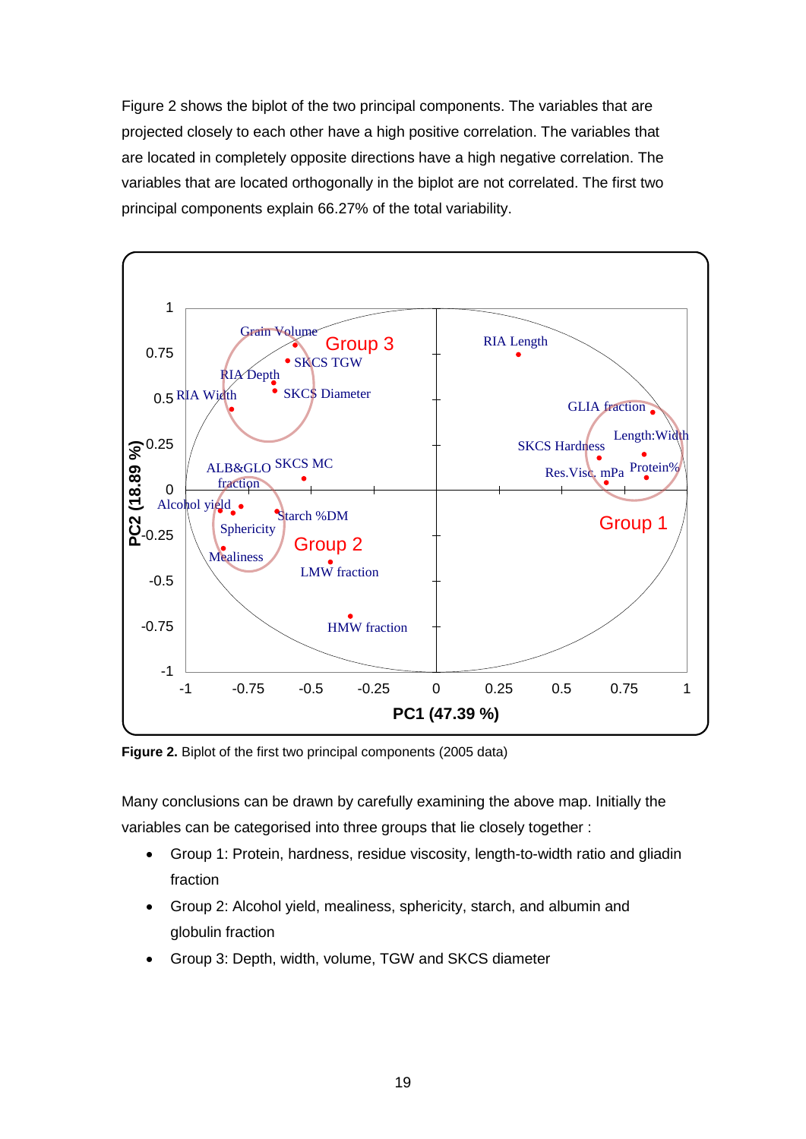Figure 2 shows the biplot of the two principal components. The variables that are projected closely to each other have a high positive correlation. The variables that are located in completely opposite directions have a high negative correlation. The variables that are located orthogonally in the biplot are not correlated. The first two principal components explain 66.27% of the total variability.



**Figure 2.** Biplot of the first two principal components (2005 data)

Many conclusions can be drawn by carefully examining the above map. Initially the variables can be categorised into three groups that lie closely together :

- Group 1: Protein, hardness, residue viscosity, length-to-width ratio and gliadin fraction
- Group 2: Alcohol yield, mealiness, sphericity, starch, and albumin and globulin fraction
- Group 3: Depth, width, volume, TGW and SKCS diameter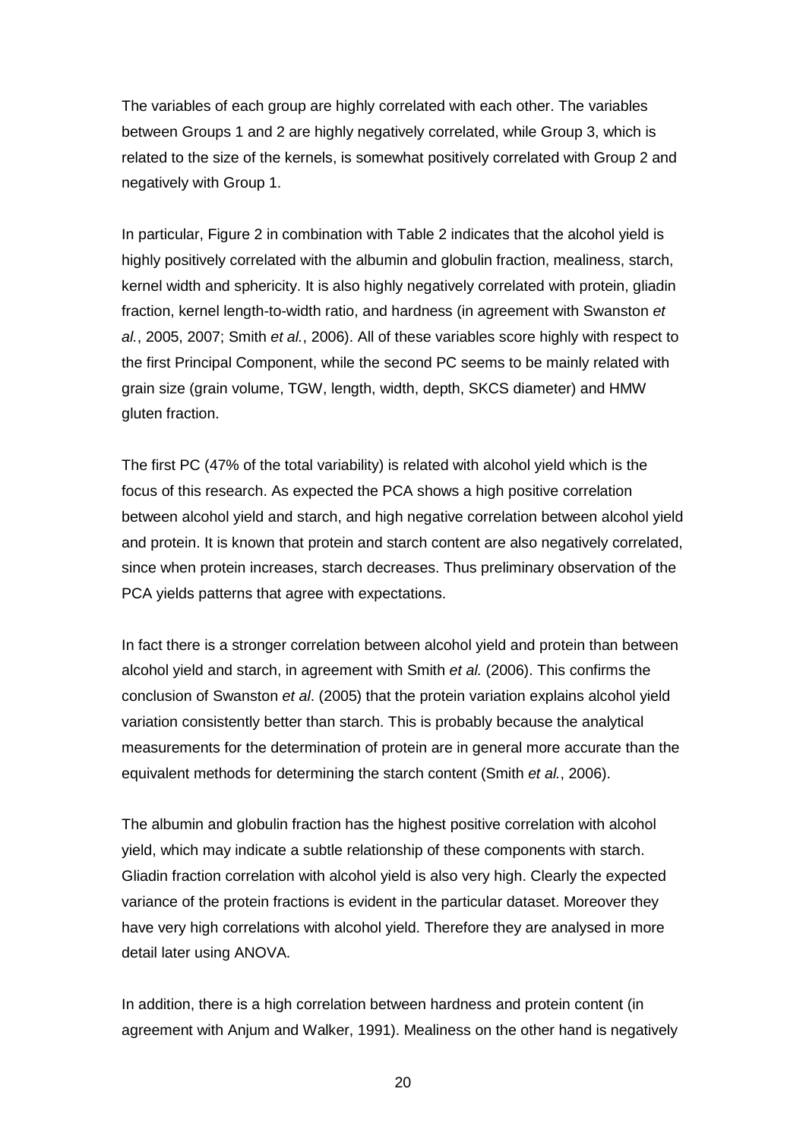The variables of each group are highly correlated with each other. The variables between Groups 1 and 2 are highly negatively correlated, while Group 3, which is related to the size of the kernels, is somewhat positively correlated with Group 2 and negatively with Group 1.

In particular, Figure 2 in combination with Table 2 indicates that the alcohol yield is highly positively correlated with the albumin and globulin fraction, mealiness, starch, kernel width and sphericity. It is also highly negatively correlated with protein, gliadin fraction, kernel length-to-width ratio, and hardness (in agreement with Swanston *et al.*, 2005, 2007; Smith *et al.*, 2006). All of these variables score highly with respect to the first Principal Component, while the second PC seems to be mainly related with grain size (grain volume, TGW, length, width, depth, SKCS diameter) and HMW gluten fraction.

The first PC (47% of the total variability) is related with alcohol yield which is the focus of this research. As expected the PCA shows a high positive correlation between alcohol yield and starch, and high negative correlation between alcohol yield and protein. It is known that protein and starch content are also negatively correlated, since when protein increases, starch decreases. Thus preliminary observation of the PCA yields patterns that agree with expectations.

In fact there is a stronger correlation between alcohol yield and protein than between alcohol yield and starch, in agreement with Smith *et al.* (2006). This confirms the conclusion of Swanston *et al*. (2005) that the protein variation explains alcohol yield variation consistently better than starch. This is probably because the analytical measurements for the determination of protein are in general more accurate than the equivalent methods for determining the starch content (Smith *et al.*, 2006).

The albumin and globulin fraction has the highest positive correlation with alcohol yield, which may indicate a subtle relationship of these components with starch. Gliadin fraction correlation with alcohol yield is also very high. Clearly the expected variance of the protein fractions is evident in the particular dataset. Moreover they have very high correlations with alcohol yield. Therefore they are analysed in more detail later using ANOVA.

In addition, there is a high correlation between hardness and protein content (in agreement with Anjum and Walker, 1991). Mealiness on the other hand is negatively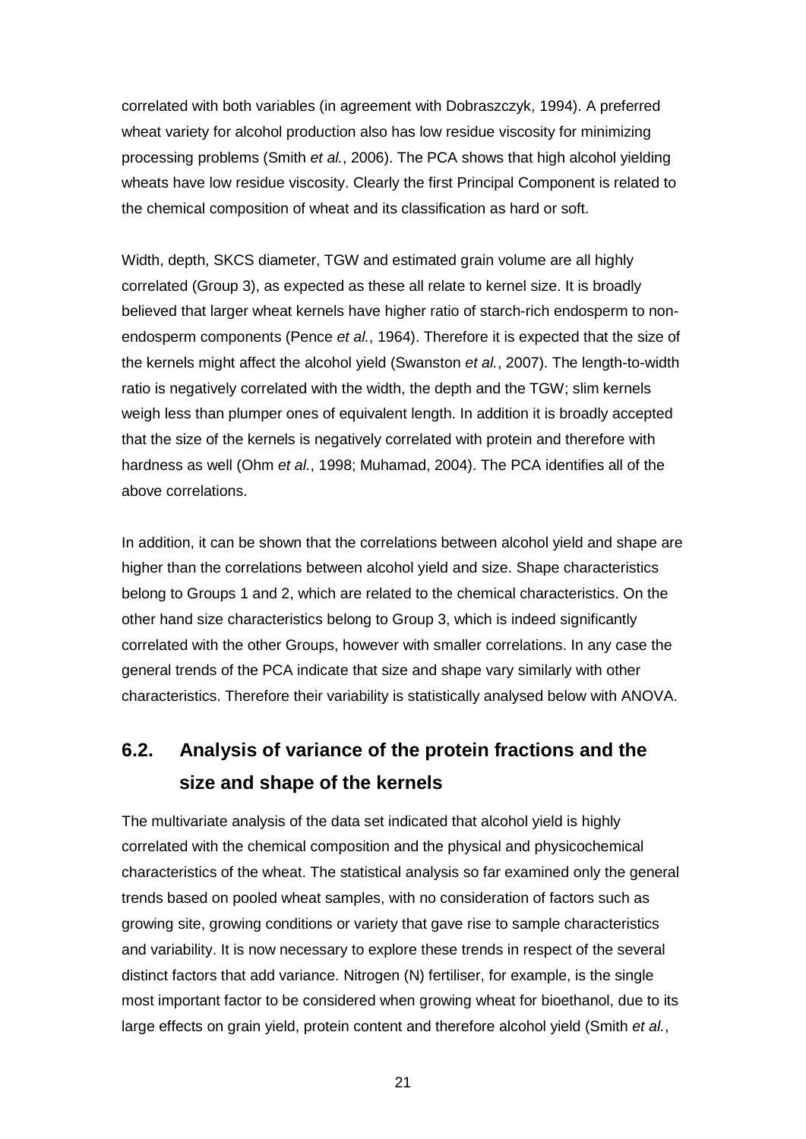correlated with both variables (in agreement with Dobraszczyk, 1994). A preferred wheat variety for alcohol production also has low residue viscosity for minimizing processing problems (Smith *et al.*, 2006). The PCA shows that high alcohol yielding wheats have low residue viscosity. Clearly the first Principal Component is related to the chemical composition of wheat and its classification as hard or soft.

Width, depth, SKCS diameter, TGW and estimated grain volume are all highly correlated (Group 3), as expected as these all relate to kernel size. It is broadly believed that larger wheat kernels have higher ratio of starch-rich endosperm to nonendosperm components (Pence *et al.*, 1964). Therefore it is expected that the size of the kernels might affect the alcohol yield (Swanston *et al.*, 2007). The length-to-width ratio is negatively correlated with the width, the depth and the TGW; slim kernels weigh less than plumper ones of equivalent length. In addition it is broadly accepted that the size of the kernels is negatively correlated with protein and therefore with hardness as well (Ohm *et al.*, 1998; Muhamad, 2004). The PCA identifies all of the above correlations.

In addition, it can be shown that the correlations between alcohol yield and shape are higher than the correlations between alcohol yield and size. Shape characteristics belong to Groups 1 and 2, which are related to the chemical characteristics. On the other hand size characteristics belong to Group 3, which is indeed significantly correlated with the other Groups, however with smaller correlations. In any case the general trends of the PCA indicate that size and shape vary similarly with other characteristics. Therefore their variability is statistically analysed below with ANOVA.

# **6.2. Analysis of variance of the protein fractions and the size and shape of the kernels**

The multivariate analysis of the data set indicated that alcohol yield is highly correlated with the chemical composition and the physical and physicochemical characteristics of the wheat. The statistical analysis so far examined only the general trends based on pooled wheat samples, with no consideration of factors such as growing site, growing conditions or variety that gave rise to sample characteristics and variability. It is now necessary to explore these trends in respect of the several distinct factors that add variance. Nitrogen (N) fertiliser, for example, is the single most important factor to be considered when growing wheat for bioethanol, due to its large effects on grain yield, protein content and therefore alcohol yield (Smith *et al.*,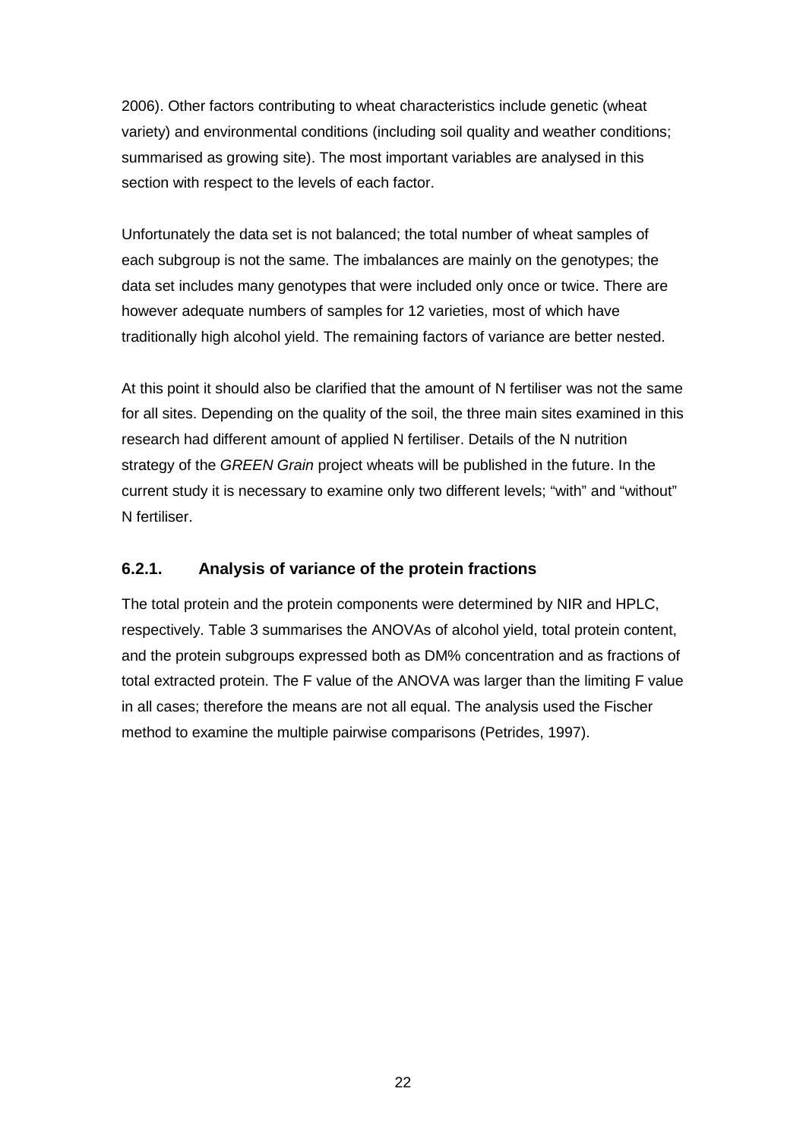2006). Other factors contributing to wheat characteristics include genetic (wheat variety) and environmental conditions (including soil quality and weather conditions; summarised as growing site). The most important variables are analysed in this section with respect to the levels of each factor.

Unfortunately the data set is not balanced; the total number of wheat samples of each subgroup is not the same. The imbalances are mainly on the genotypes; the data set includes many genotypes that were included only once or twice. There are however adequate numbers of samples for 12 varieties, most of which have traditionally high alcohol yield. The remaining factors of variance are better nested.

At this point it should also be clarified that the amount of N fertiliser was not the same for all sites. Depending on the quality of the soil, the three main sites examined in this research had different amount of applied N fertiliser. Details of the N nutrition strategy of the *GREEN Grain* project wheats will be published in the future. In the current study it is necessary to examine only two different levels; "with" and "without" N fertiliser.

#### **6.2.1. Analysis of variance of the protein fractions**

The total protein and the protein components were determined by NIR and HPLC, respectively. Table 3 summarises the ANOVAs of alcohol yield, total protein content, and the protein subgroups expressed both as DM% concentration and as fractions of total extracted protein. The F value of the ANOVA was larger than the limiting F value in all cases; therefore the means are not all equal. The analysis used the Fischer method to examine the multiple pairwise comparisons (Petrides, 1997).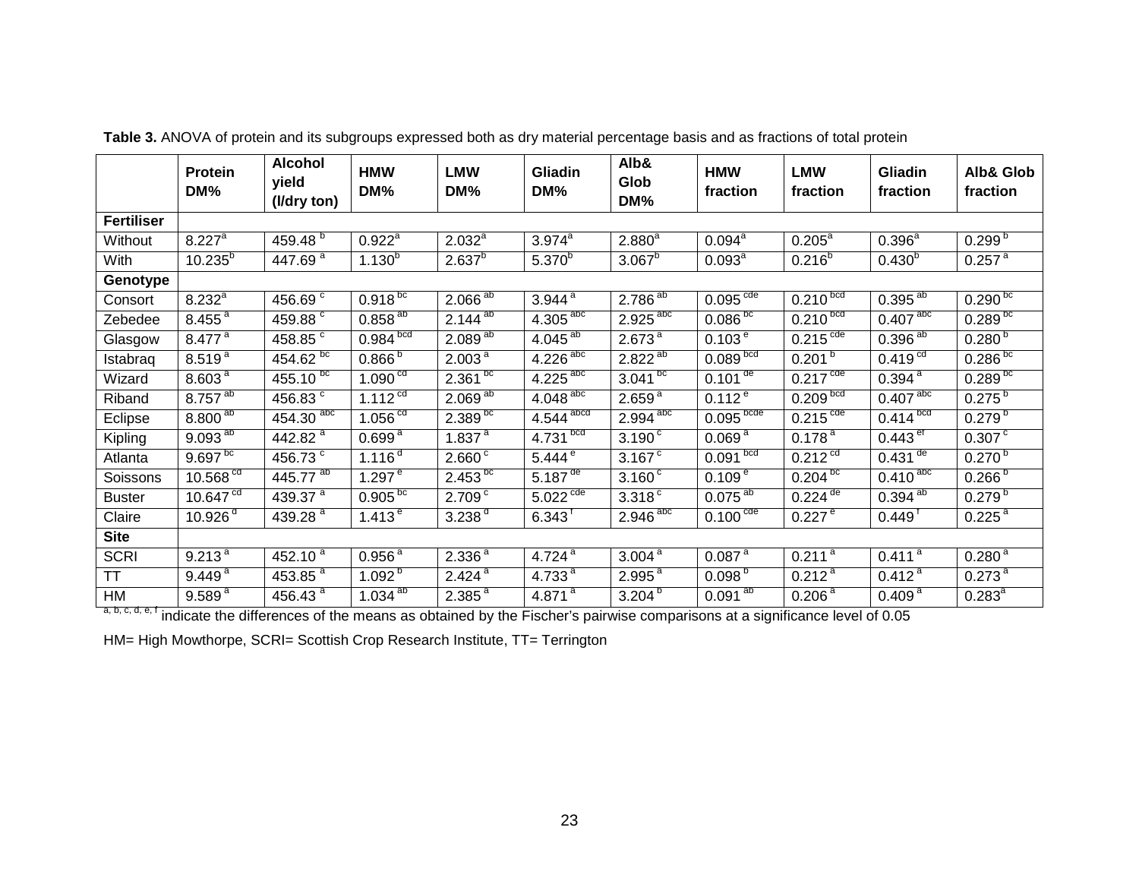|                   | <b>Protein</b><br>DM%   | <b>Alcohol</b><br>yield<br>(I/dry ton) | <b>HMW</b><br>DM%      | <b>LMW</b><br>DM%       | Gliadin<br>DM%                      | Alb&<br>Glob<br>DM%    | <b>HMW</b><br>fraction   | <b>LMW</b><br>fraction            | <b>Gliadin</b><br>fraction | <b>Alb&amp; Glob</b><br>fraction |
|-------------------|-------------------------|----------------------------------------|------------------------|-------------------------|-------------------------------------|------------------------|--------------------------|-----------------------------------|----------------------------|----------------------------------|
| <b>Fertiliser</b> |                         |                                        |                        |                         |                                     |                        |                          |                                   |                            |                                  |
| Without           | $8.22\overline{7}$      | $459.48^{b}$                           | $0.922^{\overline{a}}$ | $2.032^{a}$             | $3.974^{\overline{a}}$              | $2.880^{a}$            | $0.094^{\overline{a}}$   | $0.205^{\circ}$                   | $0.396^{a}$                | $0.299^{b}$                      |
| With              | $10.235^{b}$            | $447.69^{\overline{a}}$                | $1.130^{b}$            | $2.637^{b}$             | $5.370^{b}$                         | $3.067^{b}$            | $0.093^{\circ}$          | $0.216^{b}$                       | $0.430^{b}$                | $0.257$ <sup>a</sup>             |
| Genotype          |                         |                                        |                        |                         |                                     |                        |                          |                                   |                            |                                  |
| Consort           | $8.232^{a}$             | 456.69 <sup>c</sup>                    | $0.918^{bc}$           | $2.066^{ab}$            | $3.944$ <sup>a</sup>                | $2.786^{ab}$           | 0.095 <sup>code</sup>    | 0.210 <sup>bcd</sup>              | $0.395^{ab}$               | $0.290^{bc}$                     |
| Zebedee           | $8.455^{\frac{a}{a}}$   | 459.88 <sup>c</sup>                    | $0.858^{ab}$           | $2.144^{ab}$            | $4.305$ <sup>abc</sup>              | $2.925$ <sup>abc</sup> | $0.086_{p}^{10}$         | $0.2\overline{10^{bcd}}$          | $0.407$ <sup>abc</sup>     | $0.289^{bc}$                     |
| Glasgow           | $8.477$ <sup>a</sup>    | 458.85 $^{\circ}$                      | $0.984$ <sub>bcd</sub> | $2.089^{\overline{ab}}$ | $4.045^{\overline{ab}}$             | $2.673^{a}$            | $0.103^{e}$              | $0.215$ <sup>cde</sup>            | $0.396^{ab}$               | $0.280^{5}$                      |
| Istabraq          | $8.519^{a}$             | $454.\overline{62^{bc}}$               | $0.866^{b}$            | 2.003 <sup>a</sup>      | $4.226$ <sup>abc</sup>              | $2.822^{ab}$           | 0.089 <sup>bcd</sup>     | 0.201 <sup>b</sup>                | 0.419 <sup>cd</sup>        | $0.286_{\text{bc}}$              |
| Wizard            | 8.603 <sup>a</sup>      | $455.\overline{10^{bc}}$               | 1.090 <sup>cd</sup>    | $2.361^{bc}$            | $4.225$ <sup>abc</sup>              | $3.041^{b c}$          | $0.101$ <sup>de</sup>    | $0.21\overline{7}$ <sup>cde</sup> | $0.394$ <sup>a</sup>       | $0.289^{b c}$                    |
| Riband            | $8.757^{ab}$            | $456.83 \text{°}$                      | $1.112^{cd}$           | $2.069^{\overline{ab}}$ | $4.048$ <sup>abc</sup>              | $2.659^{\overline{a}}$ | $0.112^{e}$              | 0.209 <sup>bcd</sup>              | $0.407$ <sup>abc</sup>     | $0.275^{b}$                      |
| Eclipse           | $8.800^{\overline{ab}}$ | $454.30$ <sup>abc</sup>                | 1.056 <sup>cd</sup>    | $2.389^{bc}$            | $4.544$ <sup>abcd</sup>             | $2.994$ <sup>abc</sup> | $0.095$ <sub>bcde</sub>  | $0.21\overline{5}$ <sup>cde</sup> | $0.414 \overline{b}$       | $0.279^{5}$                      |
| Kipling           | $9.093^{ab}$            | $442.82^{\overline{a}}$                | 0.699 <sup>a</sup>     | 1.837 $a$               | $4.731$ <sub>bcd</sub>              | $3.190^{\circ}$        | $0.069^{a}$              | 0.178 <sup>a</sup>                | $0.443$ <sup>et</sup>      | $0.307^{\circ}$                  |
| Atlanta           | 9.697 <sup>bc</sup>     | 456.73 $\frac{1}{3}$                   | $1.116$ <sup>a</sup>   | 2.660 <sup>c</sup>      | $5.444^{\circ}$                     | $3.167$ <sup>c</sup>   | 0.091 <sup>bcd</sup>     | $0.212$ <sup>cd</sup>             | $0.431$ <sup>de</sup>      | 0.270 <sup>b</sup>               |
| Soissons          | $10.568$ <sup>cd</sup>  | $445.77^{ab}$                          | $1.297^{\circ}$        | $2.453^{10}$            | 5.18 $\overline{7}^{\overline{de}}$ | $3.160^{\circ}$        | $0.109^{e}$              | $0.204^{bc}$                      | $0.410$ <sup>abc</sup>     | $0.266^{b}$                      |
| <b>Buster</b>     | 10.647 <sup>cd</sup>    | 439.37 $^{\circ}$                      | $0.905_{\rm pc}$       | $2.709^{\overline{c}}$  | $5.022$ <sup>cde</sup>              | $3.318$ <sup>c</sup>   | $0.075^{\frac{ab}{}}$    | $0.224$ <sup>de</sup>             | $0.394$ <sup>ab</sup>      | $0.279^{b}$                      |
| Claire            | 10.926 $d$              | 439.28 <sup>a</sup>                    | 1.413 $^{\circ}$       | 3.238 <sup>d</sup>      | $6.343^{\dagger}$                   | $2.946$ <sup>abc</sup> | $0.100^{\overline{cde}}$ | $0.227 e^{-}$                     | $0.449^{\dagger}$          | $0.225$ <sup>a</sup>             |
| <b>Site</b>       |                         |                                        |                        |                         |                                     |                        |                          |                                   |                            |                                  |
| <b>SCRI</b>       | $9.213^{\overline{a}}$  | 452.10 $a$                             | 0.956 <sup>a</sup>     | 2.336 <sup>a</sup>      | 4.724 $a$                           | 3.004 <sup>a</sup>     | 0.087 <sup>a</sup>       | $0.211^{\overline{a}}$            | $0.411^{\overline{a}}$     | 0.280 <sup>a</sup>               |
| <b>TT</b>         | 9.449 <sup>a</sup>      | 453.85 $^{a}$                          | $1.092^{b}$            | 2.424 <sup>a</sup>      | 4.733 $a$                           | $2.995^{\text{a}}$     | $0.098\text{h}$          | 0.212 <sup>a</sup>                | $0.412^{a}$                | $0.273^{\text{a}}$               |
| HM                | 9.589 <sup>a</sup>      | $456.43^{\overline{a}}$                | $1.034^{ab}$           | $2.385^{a}$             | $4.871^{a}$                         | 3.204 <sup>b</sup>     | $0.091^{ab}$             | 0.206 <sup>a</sup>                | $0.409^{\overline{a}}$     | $0.283^{a}$                      |

**Table 3.** ANOVA of protein and its subgroups expressed both as dry material percentage basis and as fractions of total protein

a, b, c, d, e, t indicate the differences of the means as obtained by the Fischer's pairwise comparisons at a significance level of 0.05

HM= High Mowthorpe, SCRI= Scottish Crop Research Institute, TT= Terrington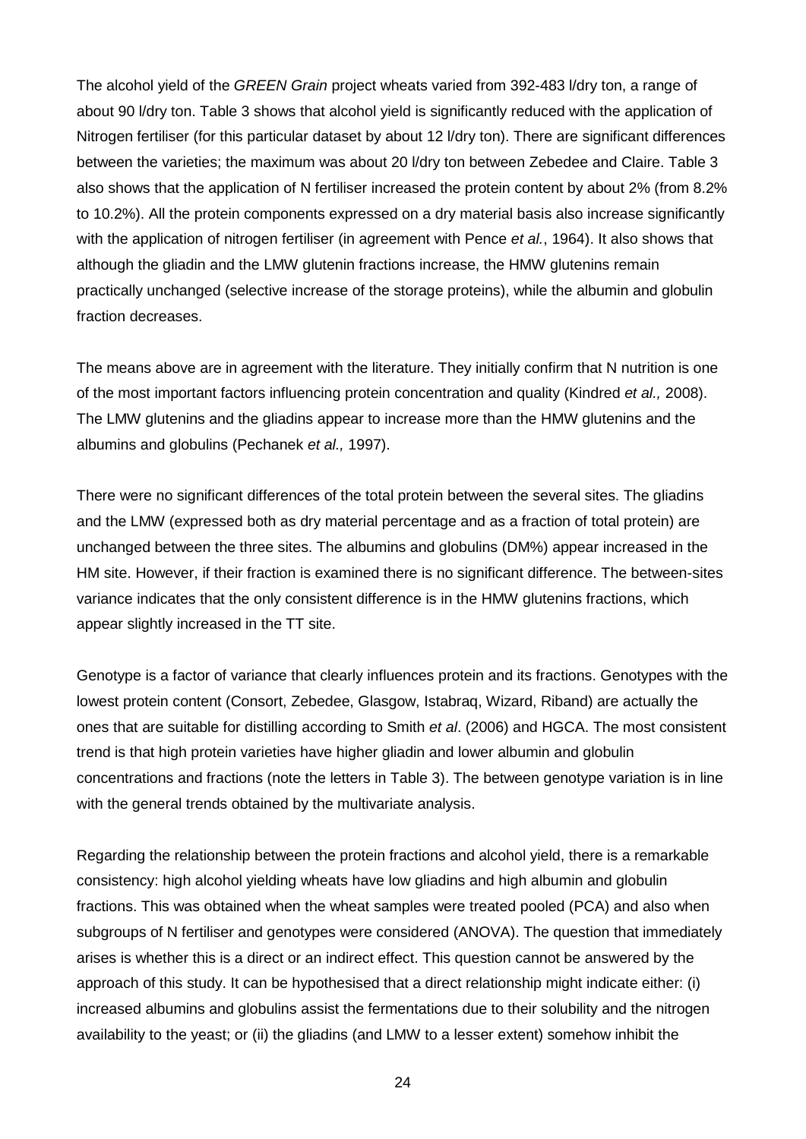The alcohol yield of the *GREEN Grain* project wheats varied from 392-483 l/dry ton, a range of about 90 l/dry ton. Table 3 shows that alcohol yield is significantly reduced with the application of Nitrogen fertiliser (for this particular dataset by about 12 l/dry ton). There are significant differences between the varieties; the maximum was about 20 l/dry ton between Zebedee and Claire. Table 3 also shows that the application of N fertiliser increased the protein content by about 2% (from 8.2% to 10.2%). All the protein components expressed on a dry material basis also increase significantly with the application of nitrogen fertiliser (in agreement with Pence *et al.*, 1964). It also shows that although the gliadin and the LMW glutenin fractions increase, the HMW glutenins remain practically unchanged (selective increase of the storage proteins), while the albumin and globulin fraction decreases.

The means above are in agreement with the literature. They initially confirm that N nutrition is one of the most important factors influencing protein concentration and quality (Kindred *et al.,* 2008). The LMW glutenins and the gliadins appear to increase more than the HMW glutenins and the albumins and globulins (Pechanek *et al.,* 1997).

There were no significant differences of the total protein between the several sites. The gliadins and the LMW (expressed both as dry material percentage and as a fraction of total protein) are unchanged between the three sites. The albumins and globulins (DM%) appear increased in the HM site. However, if their fraction is examined there is no significant difference. The between-sites variance indicates that the only consistent difference is in the HMW glutenins fractions, which appear slightly increased in the TT site.

Genotype is a factor of variance that clearly influences protein and its fractions. Genotypes with the lowest protein content (Consort, Zebedee, Glasgow, Istabraq, Wizard, Riband) are actually the ones that are suitable for distilling according to Smith *et al*. (2006) and HGCA. The most consistent trend is that high protein varieties have higher gliadin and lower albumin and globulin concentrations and fractions (note the letters in Table 3). The between genotype variation is in line with the general trends obtained by the multivariate analysis.

Regarding the relationship between the protein fractions and alcohol yield, there is a remarkable consistency: high alcohol yielding wheats have low gliadins and high albumin and globulin fractions. This was obtained when the wheat samples were treated pooled (PCA) and also when subgroups of N fertiliser and genotypes were considered (ANOVA). The question that immediately arises is whether this is a direct or an indirect effect. This question cannot be answered by the approach of this study. It can be hypothesised that a direct relationship might indicate either: (i) increased albumins and globulins assist the fermentations due to their solubility and the nitrogen availability to the yeast; or (ii) the gliadins (and LMW to a lesser extent) somehow inhibit the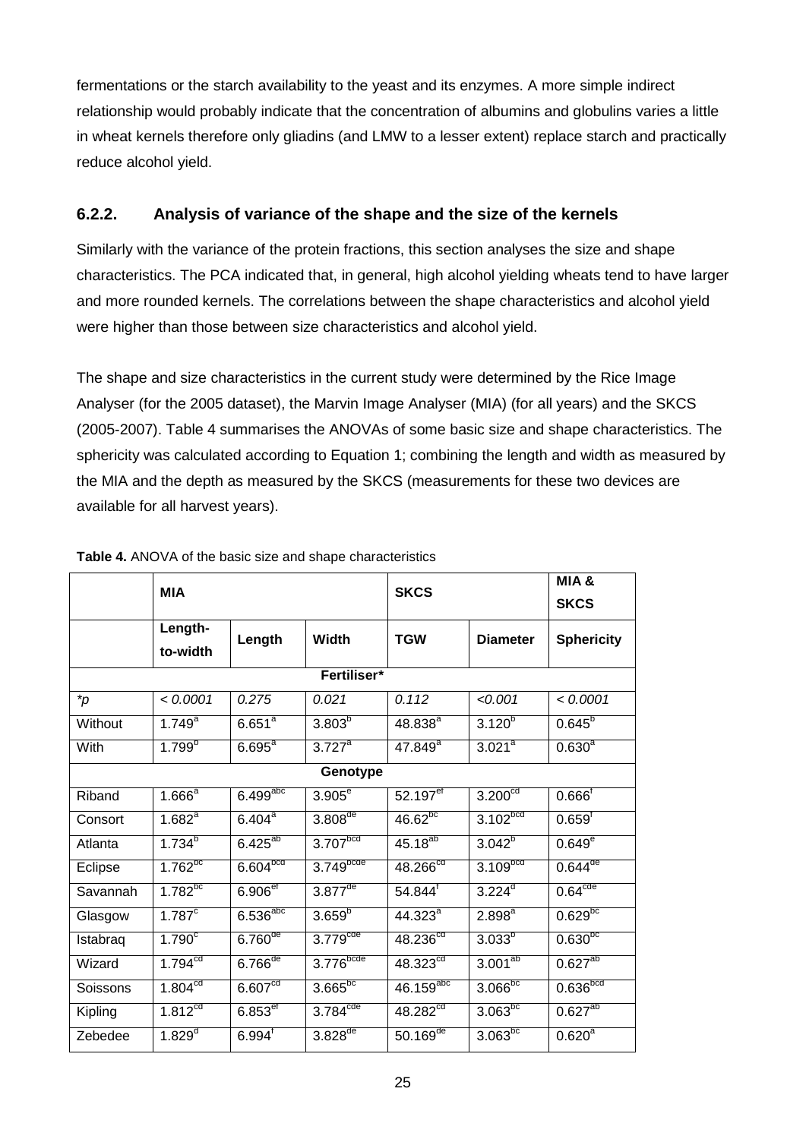fermentations or the starch availability to the yeast and its enzymes. A more simple indirect relationship would probably indicate that the concentration of albumins and globulins varies a little in wheat kernels therefore only gliadins (and LMW to a lesser extent) replace starch and practically reduce alcohol yield.

### **6.2.2. Analysis of variance of the shape and the size of the kernels**

Similarly with the variance of the protein fractions, this section analyses the size and shape characteristics. The PCA indicated that, in general, high alcohol yielding wheats tend to have larger and more rounded kernels. The correlations between the shape characteristics and alcohol yield were higher than those between size characteristics and alcohol yield.

The shape and size characteristics in the current study were determined by the Rice Image Analyser (for the 2005 dataset), the Marvin Image Analyser (MIA) (for all years) and the SKCS (2005-2007). Table 4 summarises the ANOVAs of some basic size and shape characteristics. The sphericity was calculated according to Equation 1; combining the length and width as measured by the MIA and the depth as measured by the SKCS (measurements for these two devices are available for all harvest years).

|             | MIA                    |                                  |                         | <b>SKCS</b>             | MIA&<br><b>SKCS</b>    |                        |  |  |  |  |  |  |
|-------------|------------------------|----------------------------------|-------------------------|-------------------------|------------------------|------------------------|--|--|--|--|--|--|
|             | Length-<br>to-width    | Length                           | Width                   | <b>TGW</b>              | <b>Diameter</b>        | <b>Sphericity</b>      |  |  |  |  |  |  |
| Fertiliser* |                        |                                  |                         |                         |                        |                        |  |  |  |  |  |  |
| *p          | < 0.0001               | 0.275                            | 0.021                   | 0.112                   | < 0.001                | < 0.0001               |  |  |  |  |  |  |
| Without     | $1.749^{a}$            | $6.651^{\overline{a}}$           | $3.803^{5}$             | $48.838^{a}$            | $3.120^{b}$            | $0.645^{6}$            |  |  |  |  |  |  |
| With        | $1.799^{b}$            | $6.695^{a}$                      | $3.727^{\overline{a}}$  | $47.849^{a}$            | $3.021^{a}$            | $0.630^{\overline{a}}$ |  |  |  |  |  |  |
| Genotype    |                        |                                  |                         |                         |                        |                        |  |  |  |  |  |  |
| Riband      | $1.666^{\overline{a}}$ | $6.499$ <sup>abc</sup>           | $3.905^{\circ}$         | $52.197$ <sup>et</sup>  | 3.200 <sup>cd</sup>    | $0.666^{\dagger}$      |  |  |  |  |  |  |
| Consort     | $1.682^{a}$            | $6.404^{\overline{a}}$           | $3.808$ <sup>de</sup>   | $46.62^{bc}$            | $3.102$ <sub>bcd</sub> | $0.659^{t}$            |  |  |  |  |  |  |
| Atlanta     | $1.734^{b}$            | $6.425^{ab}$                     | 3.707 <sub>textb</sub>  | $45.18^{ab}$            | $3.042^{b}$            | $0.649^e$              |  |  |  |  |  |  |
| Eclipse     | $1.762^{bc}$           | 6.604 <sup>bcd</sup>             | $3.749$ <sub>bcde</sub> | 48.266 <sup>cd</sup>    | 3.109 <sub>bcd</sub>   | $0.644$ <sup>de</sup>  |  |  |  |  |  |  |
| Savannah    | $1.782$ <sup>bc</sup>  | $6.906$ <sup>et</sup>            | $3.877$ <sup>de</sup>   | $54.844$ <sup>†</sup>   | $3.224^{d}$            | 0.64 <sup>cde</sup>    |  |  |  |  |  |  |
| Glasgow     | $1.787^c$              | $6.536$ <sub>abc</sub>           | $3.659^{b}$             | $44.323^{a}$            | $2.898^{a}$            | 0.629 <sub>pc</sub>    |  |  |  |  |  |  |
| Istabraq    | 1.790 <sup>c</sup>     | $6.760$ <sup>de</sup>            | 3.779 <sup>cde</sup>    | 48.236 <sup>cd</sup>    | $3.033^{b}$            | 0.630 <sub>pc</sub>    |  |  |  |  |  |  |
| Wizard      | 1.794 <sup>cd</sup>    | $6.\overline{766}$ <sup>de</sup> | $3.776$ <sub>bcde</sub> | $48.323^{cd}$           | 3.001 <sup>ab</sup>    | $0.627^{ab}$           |  |  |  |  |  |  |
| Soissons    | 1.804 <sup>cd</sup>    | 6.607 <sup>cd</sup>              | 3.665 <sup>bc</sup>     | $46.159$ <sup>abc</sup> | 3.066 <sup>bc</sup>    | $0.636$ <sub>bcd</sub> |  |  |  |  |  |  |
| Kipling     | $1.812^{cd}$           | $6.853^{eF}$                     | $3.784^{\text{cde}}$    | $48.282^{cd}$           | 3.063 <sup>bc</sup>    | $0.627^{ab}$           |  |  |  |  |  |  |
| Zebedee     | $1.829$ <sup>d</sup>   | $6.994$ <sup>f</sup>             | $3.828$ <sup>de</sup>   | $50.169$ <sup>de</sup>  | $3.063$ <sub>bc</sub>  | $0.620^{\rm a}$        |  |  |  |  |  |  |

**Table 4.** ANOVA of the basic size and shape characteristics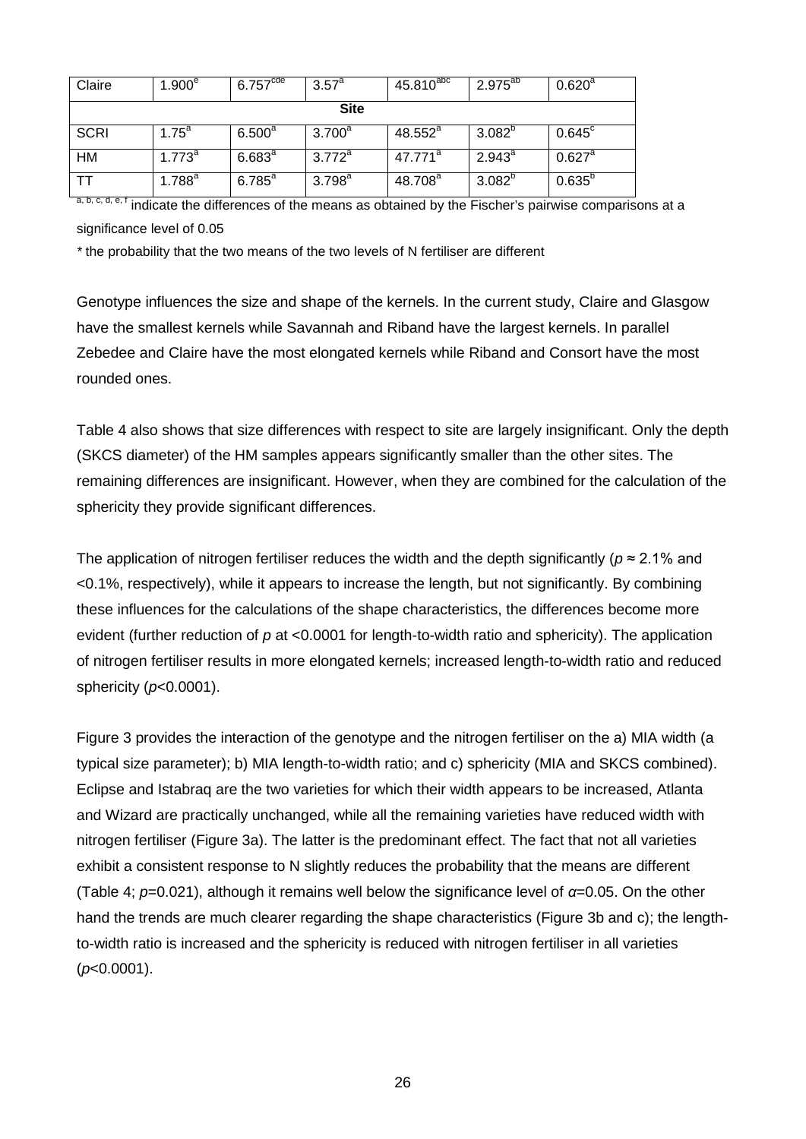| Claire      | 1.900 <sup>e</sup> | 6.757 <sup>cde</sup> | $3.57^{\circ}$  | $45.810^{abc}$      | $2.975^{ab}$ | $0.620^{\circ}$ |  |  |  |  |
|-------------|--------------------|----------------------|-----------------|---------------------|--------------|-----------------|--|--|--|--|
| <b>Site</b> |                    |                      |                 |                     |              |                 |  |  |  |  |
| <b>SCRI</b> | $1.75^{\circ}$     | $6.500^{\circ}$      | $3.700^a$       | $48.552^a$          | $3.082^{p}$  | $0.645^{\circ}$ |  |  |  |  |
| <b>HM</b>   | $1.773^a$          | $6.683^{a}$          | $3.772^{\circ}$ | $47.771^a$          | $2.943^a$    | $0.627^{\circ}$ |  |  |  |  |
| <b>TT</b>   | $1.788^{a}$        | $6.785^{a}$          | $3.798^{a}$     | 48.708 <sup>a</sup> | $3.082^{b}$  | $0.635^{p}$     |  |  |  |  |

a, b, c, d, e, f indicate the differences of the means as obtained by the Fischer's pairwise comparisons at a significance level of 0.05

*\** the probability that the two means of the two levels of N fertiliser are different

Genotype influences the size and shape of the kernels. In the current study, Claire and Glasgow have the smallest kernels while Savannah and Riband have the largest kernels. In parallel Zebedee and Claire have the most elongated kernels while Riband and Consort have the most rounded ones.

Table 4 also shows that size differences with respect to site are largely insignificant. Only the depth (SKCS diameter) of the HM samples appears significantly smaller than the other sites. The remaining differences are insignificant. However, when they are combined for the calculation of the sphericity they provide significant differences.

The application of nitrogen fertiliser reduces the width and the depth significantly ( $p \approx 2.1\%$  and <0.1%, respectively), while it appears to increase the length, but not significantly. By combining these influences for the calculations of the shape characteristics, the differences become more evident (further reduction of *p* at <0.0001 for length-to-width ratio and sphericity). The application of nitrogen fertiliser results in more elongated kernels; increased length-to-width ratio and reduced sphericity (*p*<0.0001).

Figure 3 provides the interaction of the genotype and the nitrogen fertiliser on the a) MIA width (a typical size parameter); b) MIA length-to-width ratio; and c) sphericity (MIA and SKCS combined). Eclipse and Istabraq are the two varieties for which their width appears to be increased, Atlanta and Wizard are practically unchanged, while all the remaining varieties have reduced width with nitrogen fertiliser (Figure 3a). The latter is the predominant effect. The fact that not all varieties exhibit a consistent response to N slightly reduces the probability that the means are different (Table 4; *p*=0.021), although it remains well below the significance level of *α*=0.05. On the other hand the trends are much clearer regarding the shape characteristics (Figure 3b and c); the lengthto-width ratio is increased and the sphericity is reduced with nitrogen fertiliser in all varieties (*p*<0.0001).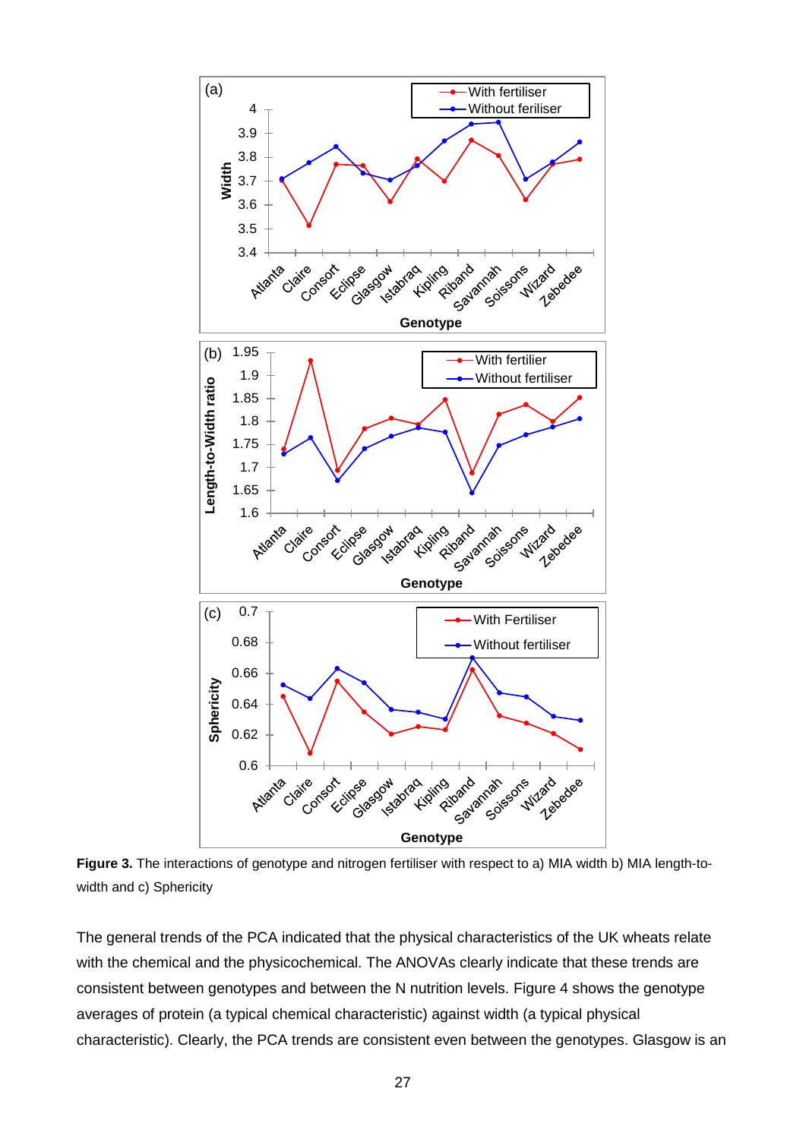

**Figure 3.** The interactions of genotype and nitrogen fertiliser with respect to a) MIA width b) MIA length-towidth and c) Sphericity

The general trends of the PCA indicated that the physical characteristics of the UK wheats relate with the chemical and the physicochemical. The ANOVAs clearly indicate that these trends are consistent between genotypes and between the N nutrition levels. Figure 4 shows the genotype averages of protein (a typical chemical characteristic) against width (a typical physical characteristic). Clearly, the PCA trends are consistent even between the genotypes. Glasgow is an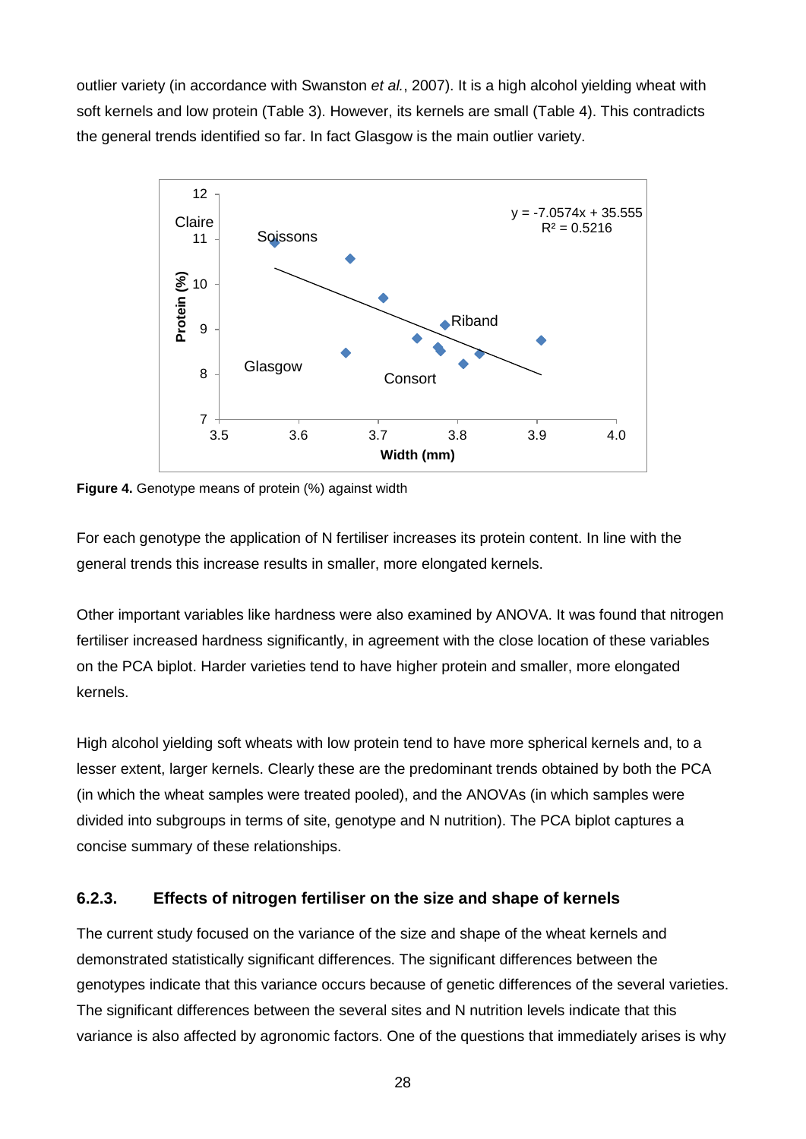outlier variety (in accordance with Swanston *et al.*, 2007). It is a high alcohol yielding wheat with soft kernels and low protein (Table 3). However, its kernels are small (Table 4). This contradicts the general trends identified so far. In fact Glasgow is the main outlier variety.



**Figure 4.** Genotype means of protein (%) against width

For each genotype the application of N fertiliser increases its protein content. In line with the general trends this increase results in smaller, more elongated kernels.

Other important variables like hardness were also examined by ANOVA. It was found that nitrogen fertiliser increased hardness significantly, in agreement with the close location of these variables on the PCA biplot. Harder varieties tend to have higher protein and smaller, more elongated kernels.

High alcohol yielding soft wheats with low protein tend to have more spherical kernels and, to a lesser extent, larger kernels. Clearly these are the predominant trends obtained by both the PCA (in which the wheat samples were treated pooled), and the ANOVAs (in which samples were divided into subgroups in terms of site, genotype and N nutrition). The PCA biplot captures a concise summary of these relationships.

### **6.2.3. Effects of nitrogen fertiliser on the size and shape of kernels**

The current study focused on the variance of the size and shape of the wheat kernels and demonstrated statistically significant differences. The significant differences between the genotypes indicate that this variance occurs because of genetic differences of the several varieties. The significant differences between the several sites and N nutrition levels indicate that this variance is also affected by agronomic factors. One of the questions that immediately arises is why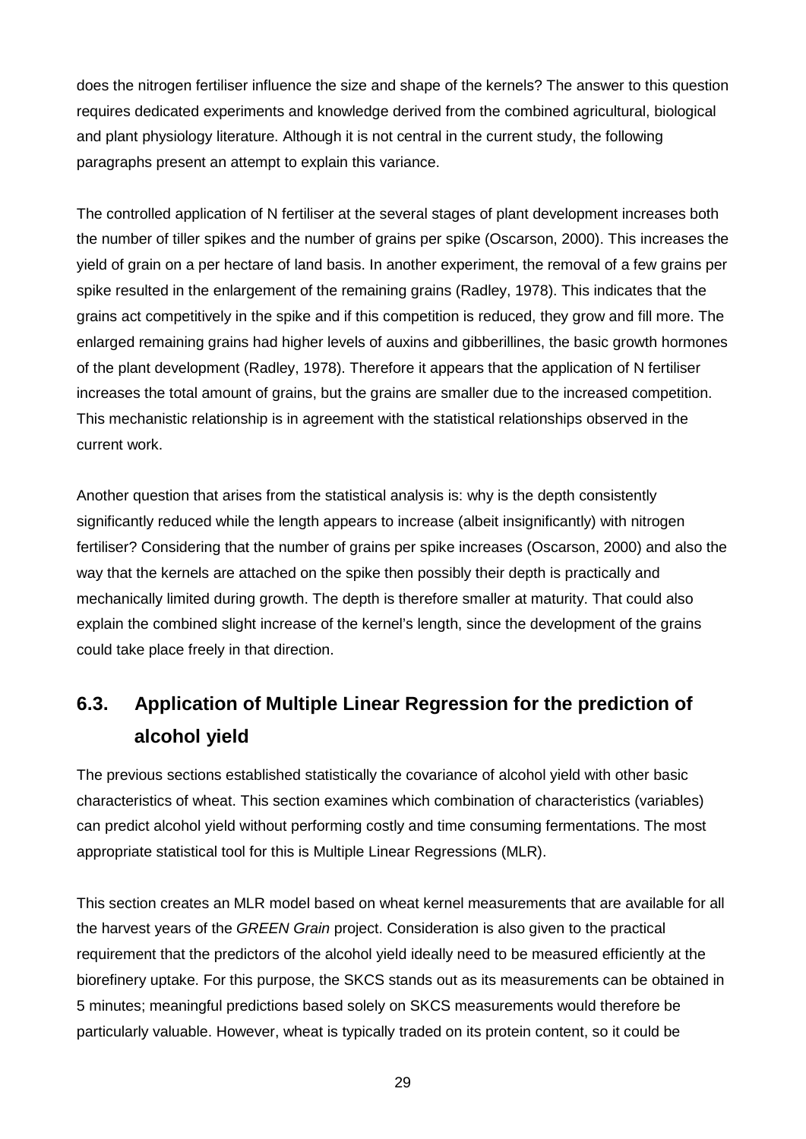does the nitrogen fertiliser influence the size and shape of the kernels? The answer to this question requires dedicated experiments and knowledge derived from the combined agricultural, biological and plant physiology literature. Although it is not central in the current study, the following paragraphs present an attempt to explain this variance.

The controlled application of N fertiliser at the several stages of plant development increases both the number of tiller spikes and the number of grains per spike (Oscarson, 2000). This increases the yield of grain on a per hectare of land basis. In another experiment, the removal of a few grains per spike resulted in the enlargement of the remaining grains (Radley, 1978). This indicates that the grains act competitively in the spike and if this competition is reduced, they grow and fill more. The enlarged remaining grains had higher levels of auxins and gibberillines, the basic growth hormones of the plant development (Radley, 1978). Therefore it appears that the application of N fertiliser increases the total amount of grains, but the grains are smaller due to the increased competition. This mechanistic relationship is in agreement with the statistical relationships observed in the current work.

Another question that arises from the statistical analysis is: why is the depth consistently significantly reduced while the length appears to increase (albeit insignificantly) with nitrogen fertiliser? Considering that the number of grains per spike increases (Oscarson, 2000) and also the way that the kernels are attached on the spike then possibly their depth is practically and mechanically limited during growth. The depth is therefore smaller at maturity. That could also explain the combined slight increase of the kernel's length, since the development of the grains could take place freely in that direction.

# **6.3. Application of Multiple Linear Regression for the prediction of alcohol yield**

The previous sections established statistically the covariance of alcohol yield with other basic characteristics of wheat. This section examines which combination of characteristics (variables) can predict alcohol yield without performing costly and time consuming fermentations. The most appropriate statistical tool for this is Multiple Linear Regressions (MLR).

This section creates an MLR model based on wheat kernel measurements that are available for all the harvest years of the *GREEN Grain* project. Consideration is also given to the practical requirement that the predictors of the alcohol yield ideally need to be measured efficiently at the biorefinery uptake. For this purpose, the SKCS stands out as its measurements can be obtained in 5 minutes; meaningful predictions based solely on SKCS measurements would therefore be particularly valuable. However, wheat is typically traded on its protein content, so it could be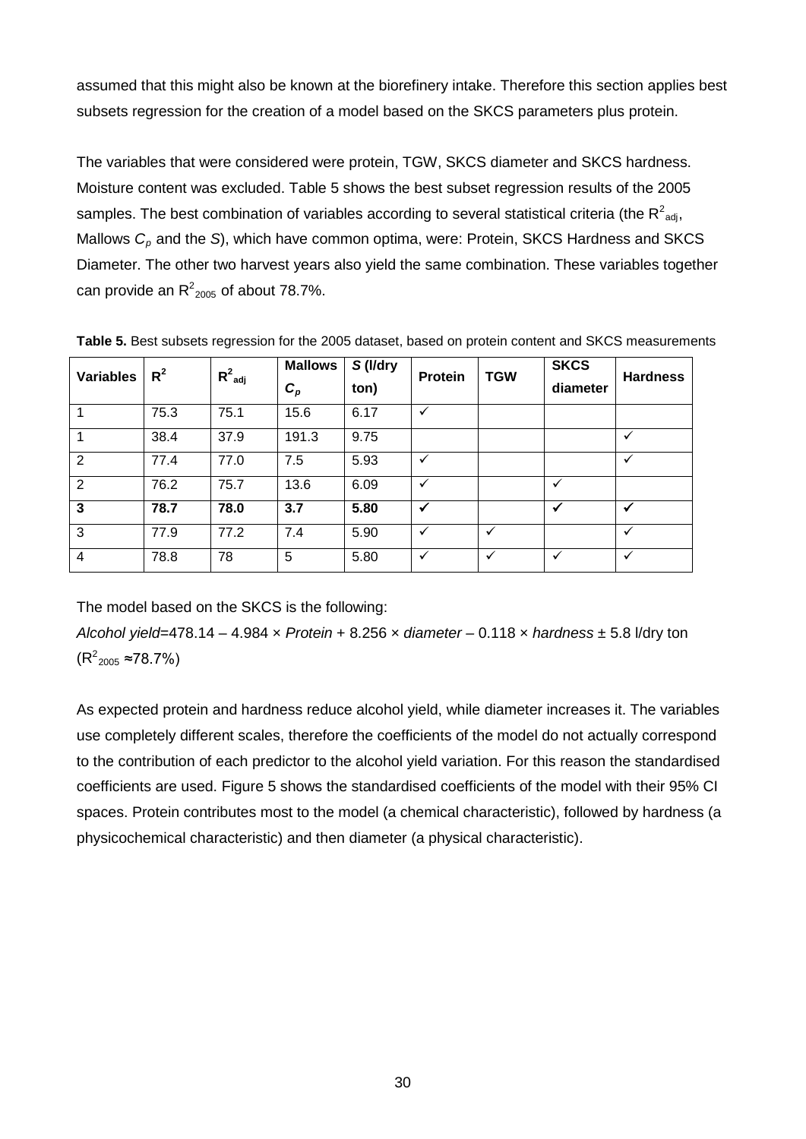assumed that this might also be known at the biorefinery intake. Therefore this section applies best subsets regression for the creation of a model based on the SKCS parameters plus protein.

The variables that were considered were protein, TGW, SKCS diameter and SKCS hardness. Moisture content was excluded. Table 5 shows the best subset regression results of the 2005 samples. The best combination of variables according to several statistical criteria (the R<sup>2</sup><sub>adj</sub>, Mallows  $C_p$  and the *S*), which have common optima, were: Protein, SKCS Hardness and SKCS Diameter. The other two harvest years also yield the same combination. These variables together can provide an  $R^2_{2005}$  of about 78.7%.

| <b>Variables</b> | $R^2$ | $R^2_{adj}$ | <b>Mallows</b><br>$\bm{C}_{\bm{p}}$ | S (I/dry<br>ton) | <b>Protein</b> | <b>TGW</b>   | <b>SKCS</b><br>diameter | <b>Hardness</b> |
|------------------|-------|-------------|-------------------------------------|------------------|----------------|--------------|-------------------------|-----------------|
|                  | 75.3  | 75.1        | 15.6                                | 6.17             | $\checkmark$   |              |                         |                 |
|                  | 38.4  | 37.9        | 191.3                               | 9.75             |                |              |                         | $\checkmark$    |
| 2                | 77.4  | 77.0        | 7.5                                 | 5.93             | ✓              |              |                         | $\checkmark$    |
| 2                | 76.2  | 75.7        | 13.6                                | 6.09             | $\checkmark$   |              | ✓                       |                 |
| $\overline{3}$   | 78.7  | 78.0        | 3.7                                 | 5.80             | $\checkmark$   |              | √                       | ✔               |
| $\mathbf{3}$     | 77.9  | 77.2        | 7.4                                 | 5.90             | $\checkmark$   | ✓            |                         | $\checkmark$    |
| $\overline{4}$   | 78.8  | 78          | 5                                   | 5.80             | $\checkmark$   | $\checkmark$ | $\checkmark$            | $\checkmark$    |

**Table 5.** Best subsets regression for the 2005 dataset, based on protein content and SKCS measurements

The model based on the SKCS is the following:

*Alcohol yield=*478.14 – 4.984 × *Protein* + 8.256 × *diameter –* 0.118 × *hardness* ± 5.8 l/dry ton  $(R^2_{2005} \approx 78.7\%)$ 

As expected protein and hardness reduce alcohol yield, while diameter increases it. The variables use completely different scales, therefore the coefficients of the model do not actually correspond to the contribution of each predictor to the alcohol yield variation. For this reason the standardised coefficients are used. Figure 5 shows the standardised coefficients of the model with their 95% CI spaces. Protein contributes most to the model (a chemical characteristic), followed by hardness (a physicochemical characteristic) and then diameter (a physical characteristic).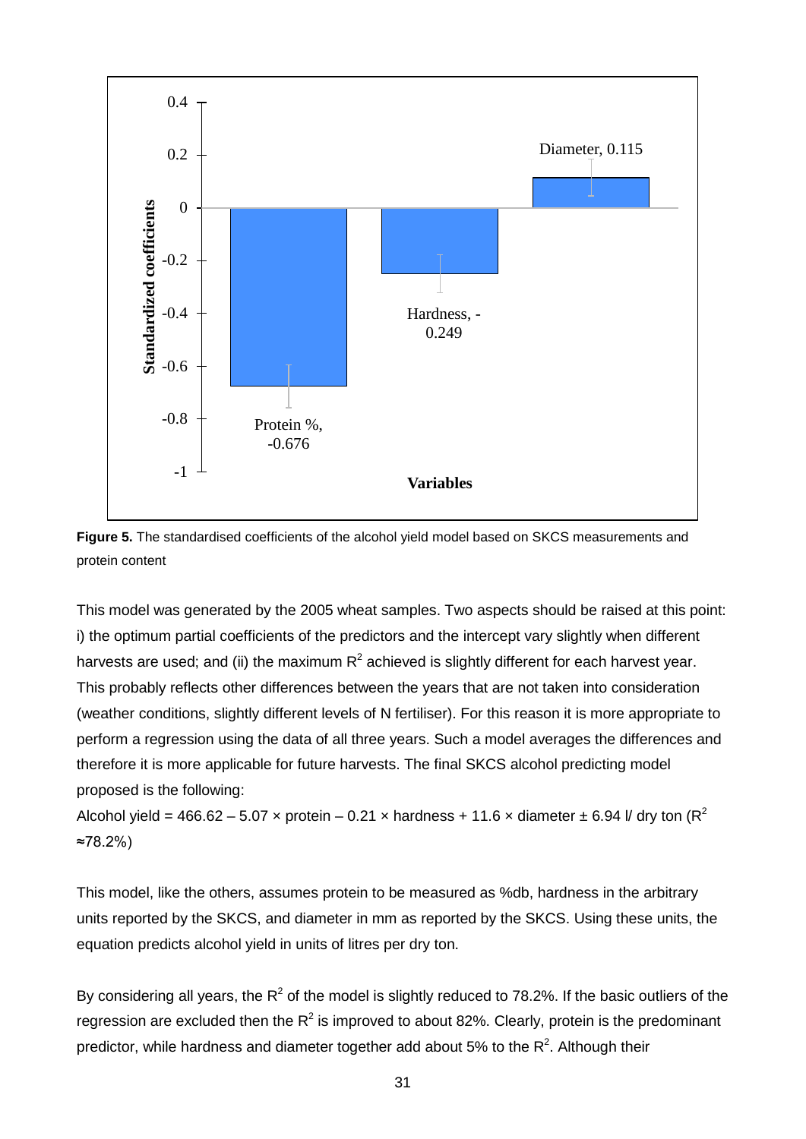



This model was generated by the 2005 wheat samples. Two aspects should be raised at this point: i) the optimum partial coefficients of the predictors and the intercept vary slightly when different harvests are used; and (ii) the maximum  $R^2$  achieved is slightly different for each harvest year. This probably reflects other differences between the years that are not taken into consideration (weather conditions, slightly different levels of N fertiliser). For this reason it is more appropriate to perform a regression using the data of all three years. Such a model averages the differences and therefore it is more applicable for future harvests. The final SKCS alcohol predicting model proposed is the following:

Alcohol yield = 466.62 – 5.07 x protein – 0.21 x hardness + 11.6 x diameter  $\pm$  6.94 *V* dry ton (R<sup>2</sup>) ≈78.2%)

This model, like the others, assumes protein to be measured as %db, hardness in the arbitrary units reported by the SKCS, and diameter in mm as reported by the SKCS. Using these units, the equation predicts alcohol yield in units of litres per dry ton.

By considering all years, the  $R^2$  of the model is slightly reduced to 78.2%. If the basic outliers of the regression are excluded then the  $R^2$  is improved to about 82%. Clearly, protein is the predominant predictor, while hardness and diameter together add about 5% to the  $R^2$ . Although their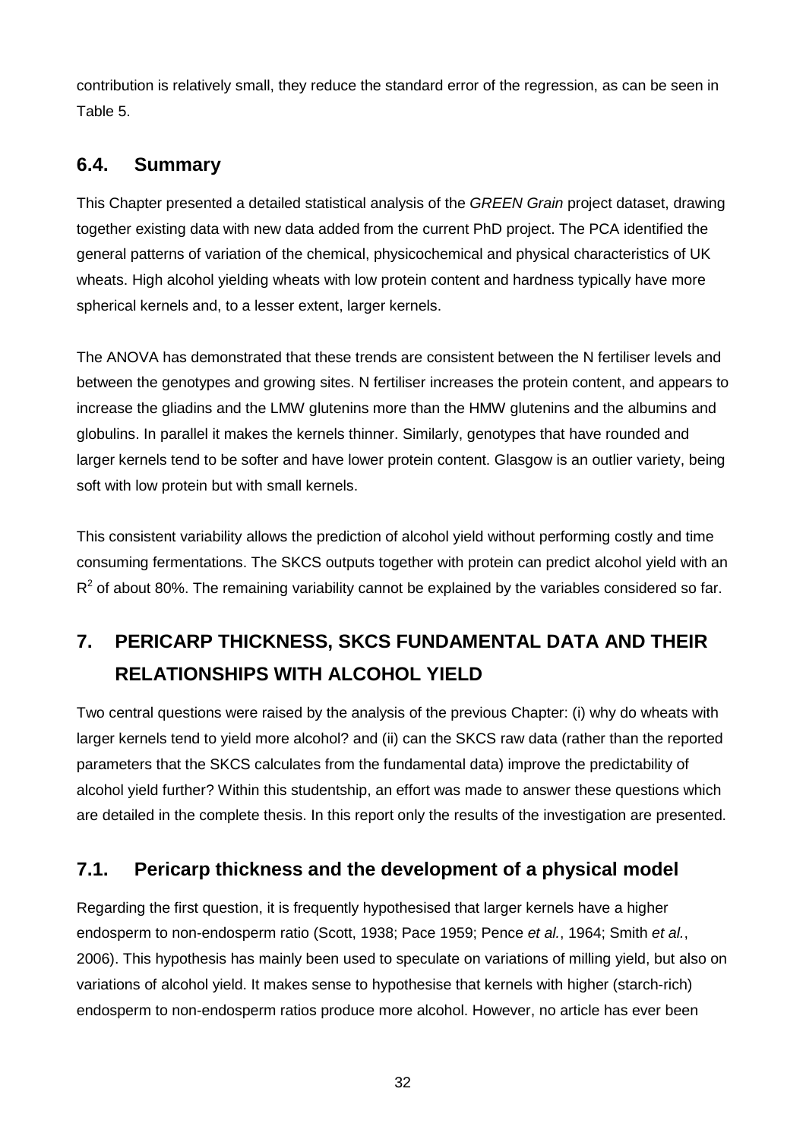contribution is relatively small, they reduce the standard error of the regression, as can be seen in Table 5.

## **6.4. Summary**

This Chapter presented a detailed statistical analysis of the *GREEN Grain* project dataset, drawing together existing data with new data added from the current PhD project. The PCA identified the general patterns of variation of the chemical, physicochemical and physical characteristics of UK wheats. High alcohol yielding wheats with low protein content and hardness typically have more spherical kernels and, to a lesser extent, larger kernels.

The ANOVA has demonstrated that these trends are consistent between the N fertiliser levels and between the genotypes and growing sites. N fertiliser increases the protein content, and appears to increase the gliadins and the LMW glutenins more than the HMW glutenins and the albumins and globulins. In parallel it makes the kernels thinner. Similarly, genotypes that have rounded and larger kernels tend to be softer and have lower protein content. Glasgow is an outlier variety, being soft with low protein but with small kernels.

This consistent variability allows the prediction of alcohol yield without performing costly and time consuming fermentations. The SKCS outputs together with protein can predict alcohol yield with an  $R<sup>2</sup>$  of about 80%. The remaining variability cannot be explained by the variables considered so far.

# **7. PERICARP THICKNESS, SKCS FUNDAMENTAL DATA AND THEIR RELATIONSHIPS WITH ALCOHOL YIELD**

Two central questions were raised by the analysis of the previous Chapter: (i) why do wheats with larger kernels tend to yield more alcohol? and (ii) can the SKCS raw data (rather than the reported parameters that the SKCS calculates from the fundamental data) improve the predictability of alcohol yield further? Within this studentship, an effort was made to answer these questions which are detailed in the complete thesis. In this report only the results of the investigation are presented.

## **7.1. Pericarp thickness and the development of a physical model**

Regarding the first question, it is frequently hypothesised that larger kernels have a higher endosperm to non-endosperm ratio (Scott, 1938; Pace 1959; Pence *et al.*, 1964; Smith *et al.*, 2006). This hypothesis has mainly been used to speculate on variations of milling yield, but also on variations of alcohol yield. It makes sense to hypothesise that kernels with higher (starch-rich) endosperm to non-endosperm ratios produce more alcohol. However, no article has ever been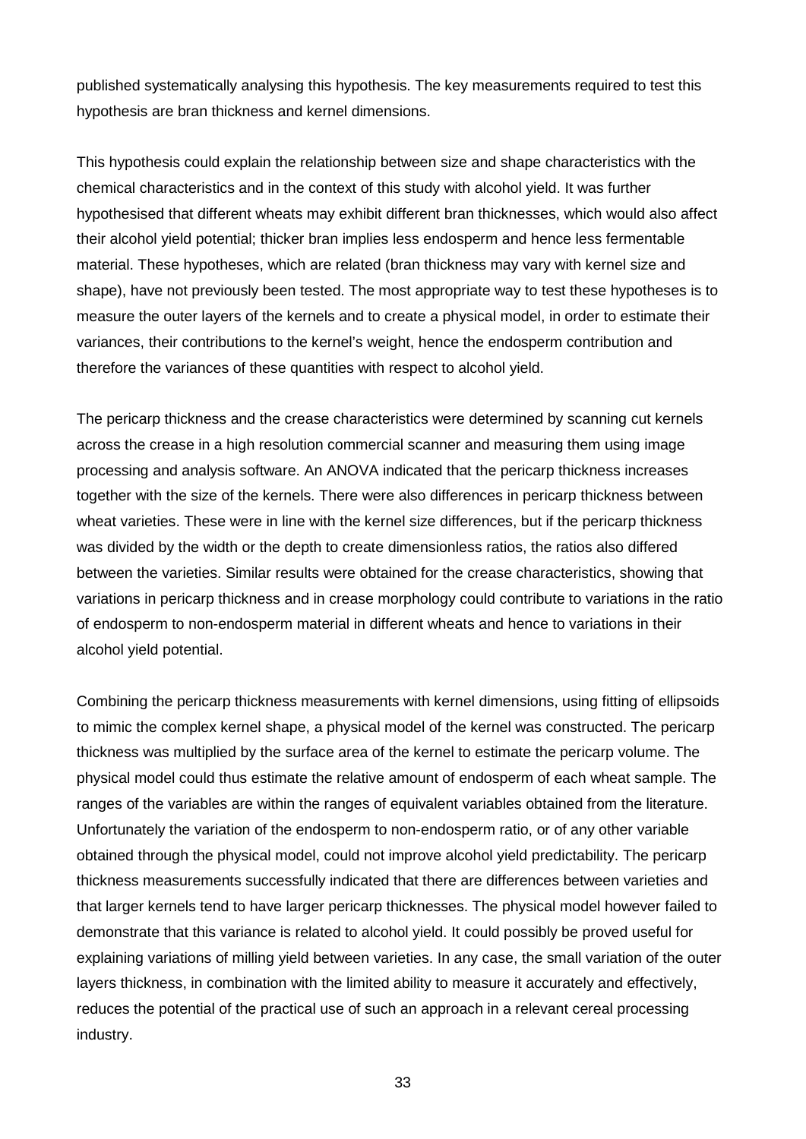published systematically analysing this hypothesis. The key measurements required to test this hypothesis are bran thickness and kernel dimensions.

This hypothesis could explain the relationship between size and shape characteristics with the chemical characteristics and in the context of this study with alcohol yield. It was further hypothesised that different wheats may exhibit different bran thicknesses, which would also affect their alcohol yield potential; thicker bran implies less endosperm and hence less fermentable material. These hypotheses, which are related (bran thickness may vary with kernel size and shape), have not previously been tested. The most appropriate way to test these hypotheses is to measure the outer layers of the kernels and to create a physical model, in order to estimate their variances, their contributions to the kernel's weight, hence the endosperm contribution and therefore the variances of these quantities with respect to alcohol yield.

The pericarp thickness and the crease characteristics were determined by scanning cut kernels across the crease in a high resolution commercial scanner and measuring them using image processing and analysis software. An ANOVA indicated that the pericarp thickness increases together with the size of the kernels. There were also differences in pericarp thickness between wheat varieties. These were in line with the kernel size differences, but if the pericarp thickness was divided by the width or the depth to create dimensionless ratios, the ratios also differed between the varieties. Similar results were obtained for the crease characteristics, showing that variations in pericarp thickness and in crease morphology could contribute to variations in the ratio of endosperm to non-endosperm material in different wheats and hence to variations in their alcohol yield potential.

Combining the pericarp thickness measurements with kernel dimensions, using fitting of ellipsoids to mimic the complex kernel shape, a physical model of the kernel was constructed. The pericarp thickness was multiplied by the surface area of the kernel to estimate the pericarp volume. The physical model could thus estimate the relative amount of endosperm of each wheat sample. The ranges of the variables are within the ranges of equivalent variables obtained from the literature. Unfortunately the variation of the endosperm to non-endosperm ratio, or of any other variable obtained through the physical model, could not improve alcohol yield predictability. The pericarp thickness measurements successfully indicated that there are differences between varieties and that larger kernels tend to have larger pericarp thicknesses. The physical model however failed to demonstrate that this variance is related to alcohol yield. It could possibly be proved useful for explaining variations of milling yield between varieties. In any case, the small variation of the outer layers thickness, in combination with the limited ability to measure it accurately and effectively, reduces the potential of the practical use of such an approach in a relevant cereal processing industry.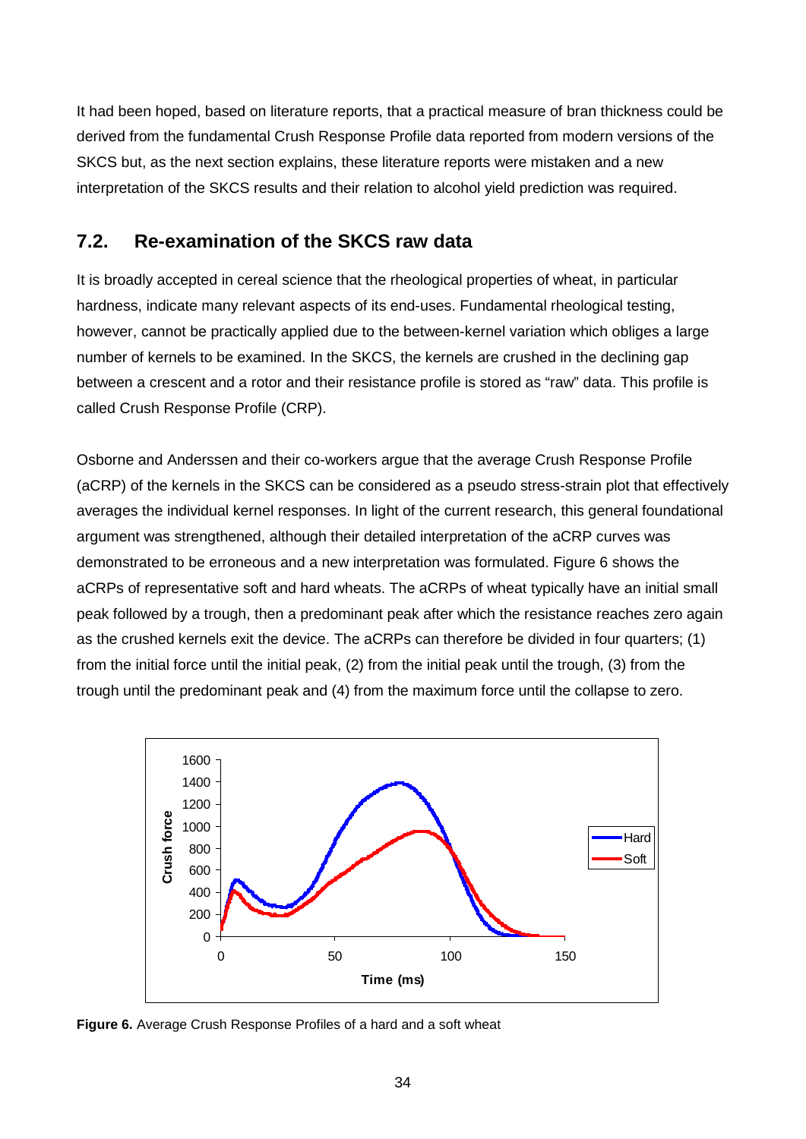It had been hoped, based on literature reports, that a practical measure of bran thickness could be derived from the fundamental Crush Response Profile data reported from modern versions of the SKCS but, as the next section explains, these literature reports were mistaken and a new interpretation of the SKCS results and their relation to alcohol yield prediction was required.

## **7.2. Re-examination of the SKCS raw data**

It is broadly accepted in cereal science that the rheological properties of wheat, in particular hardness, indicate many relevant aspects of its end-uses. Fundamental rheological testing, however, cannot be practically applied due to the between-kernel variation which obliges a large number of kernels to be examined. In the SKCS, the kernels are crushed in the declining gap between a crescent and a rotor and their resistance profile is stored as "raw" data. This profile is called Crush Response Profile (CRP).

Osborne and Anderssen and their co-workers argue that the average Crush Response Profile (aCRP) of the kernels in the SKCS can be considered as a pseudo stress-strain plot that effectively averages the individual kernel responses. In light of the current research, this general foundational argument was strengthened, although their detailed interpretation of the aCRP curves was demonstrated to be erroneous and a new interpretation was formulated. Figure 6 shows the aCRPs of representative soft and hard wheats. The aCRPs of wheat typically have an initial small peak followed by a trough, then a predominant peak after which the resistance reaches zero again as the crushed kernels exit the device. The aCRPs can therefore be divided in four quarters; (1) from the initial force until the initial peak, (2) from the initial peak until the trough, (3) from the trough until the predominant peak and (4) from the maximum force until the collapse to zero.



**Figure 6.** Average Crush Response Profiles of a hard and a soft wheat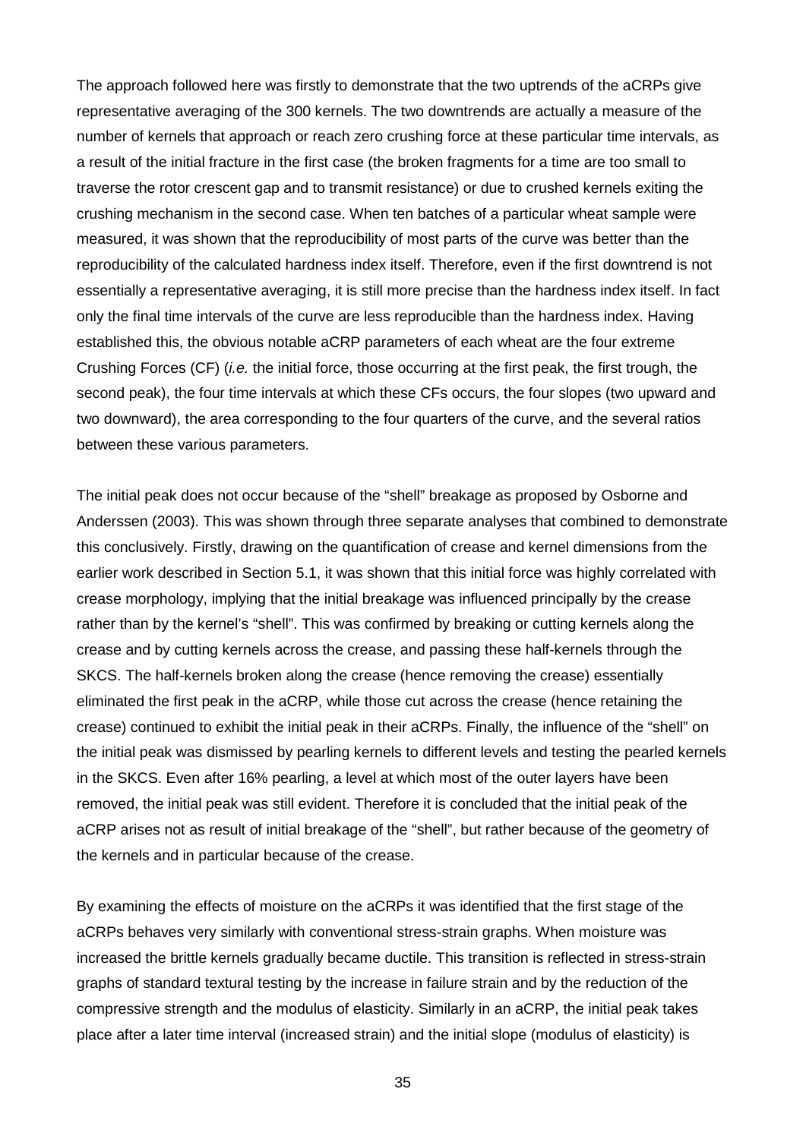The approach followed here was firstly to demonstrate that the two uptrends of the aCRPs give representative averaging of the 300 kernels. The two downtrends are actually a measure of the number of kernels that approach or reach zero crushing force at these particular time intervals, as a result of the initial fracture in the first case (the broken fragments for a time are too small to traverse the rotor crescent gap and to transmit resistance) or due to crushed kernels exiting the crushing mechanism in the second case. When ten batches of a particular wheat sample were measured, it was shown that the reproducibility of most parts of the curve was better than the reproducibility of the calculated hardness index itself. Therefore, even if the first downtrend is not essentially a representative averaging, it is still more precise than the hardness index itself. In fact only the final time intervals of the curve are less reproducible than the hardness index. Having established this, the obvious notable aCRP parameters of each wheat are the four extreme Crushing Forces (CF) (*i.e.* the initial force, those occurring at the first peak, the first trough, the second peak), the four time intervals at which these CFs occurs, the four slopes (two upward and two downward), the area corresponding to the four quarters of the curve, and the several ratios between these various parameters.

The initial peak does not occur because of the "shell" breakage as proposed by Osborne and Anderssen (2003). This was shown through three separate analyses that combined to demonstrate this conclusively. Firstly, drawing on the quantification of crease and kernel dimensions from the earlier work described in Section 5.1, it was shown that this initial force was highly correlated with crease morphology, implying that the initial breakage was influenced principally by the crease rather than by the kernel's "shell". This was confirmed by breaking or cutting kernels along the crease and by cutting kernels across the crease, and passing these half-kernels through the SKCS. The half-kernels broken along the crease (hence removing the crease) essentially eliminated the first peak in the aCRP, while those cut across the crease (hence retaining the crease) continued to exhibit the initial peak in their aCRPs. Finally, the influence of the "shell" on the initial peak was dismissed by pearling kernels to different levels and testing the pearled kernels in the SKCS. Even after 16% pearling, a level at which most of the outer layers have been removed, the initial peak was still evident. Therefore it is concluded that the initial peak of the aCRP arises not as result of initial breakage of the "shell", but rather because of the geometry of the kernels and in particular because of the crease.

By examining the effects of moisture on the aCRPs it was identified that the first stage of the aCRPs behaves very similarly with conventional stress-strain graphs. When moisture was increased the brittle kernels gradually became ductile. This transition is reflected in stress-strain graphs of standard textural testing by the increase in failure strain and by the reduction of the compressive strength and the modulus of elasticity. Similarly in an aCRP, the initial peak takes place after a later time interval (increased strain) and the initial slope (modulus of elasticity) is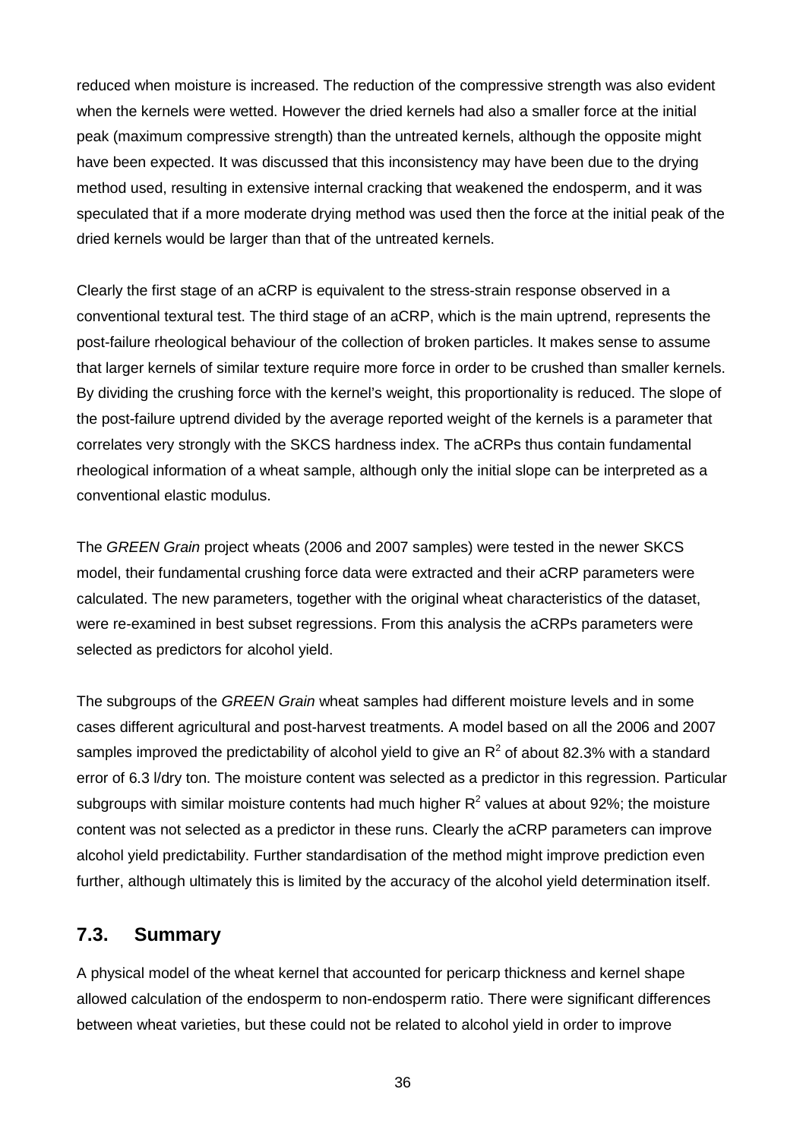reduced when moisture is increased. The reduction of the compressive strength was also evident when the kernels were wetted. However the dried kernels had also a smaller force at the initial peak (maximum compressive strength) than the untreated kernels, although the opposite might have been expected. It was discussed that this inconsistency may have been due to the drying method used, resulting in extensive internal cracking that weakened the endosperm, and it was speculated that if a more moderate drying method was used then the force at the initial peak of the dried kernels would be larger than that of the untreated kernels.

Clearly the first stage of an aCRP is equivalent to the stress-strain response observed in a conventional textural test. The third stage of an aCRP, which is the main uptrend, represents the post-failure rheological behaviour of the collection of broken particles. It makes sense to assume that larger kernels of similar texture require more force in order to be crushed than smaller kernels. By dividing the crushing force with the kernel's weight, this proportionality is reduced. The slope of the post-failure uptrend divided by the average reported weight of the kernels is a parameter that correlates very strongly with the SKCS hardness index. The aCRPs thus contain fundamental rheological information of a wheat sample, although only the initial slope can be interpreted as a conventional elastic modulus.

The *GREEN Grain* project wheats (2006 and 2007 samples) were tested in the newer SKCS model, their fundamental crushing force data were extracted and their aCRP parameters were calculated. The new parameters, together with the original wheat characteristics of the dataset, were re-examined in best subset regressions. From this analysis the aCRPs parameters were selected as predictors for alcohol yield.

The subgroups of the *GREEN Grain* wheat samples had different moisture levels and in some cases different agricultural and post-harvest treatments. A model based on all the 2006 and 2007 samples improved the predictability of alcohol yield to give an  $R^2$  of about 82.3% with a standard error of 6.3 l/dry ton. The moisture content was selected as a predictor in this regression. Particular subgroups with similar moisture contents had much higher  $R^2$  values at about 92%; the moisture content was not selected as a predictor in these runs. Clearly the aCRP parameters can improve alcohol yield predictability. Further standardisation of the method might improve prediction even further, although ultimately this is limited by the accuracy of the alcohol yield determination itself.

### **7.3. Summary**

A physical model of the wheat kernel that accounted for pericarp thickness and kernel shape allowed calculation of the endosperm to non-endosperm ratio. There were significant differences between wheat varieties, but these could not be related to alcohol yield in order to improve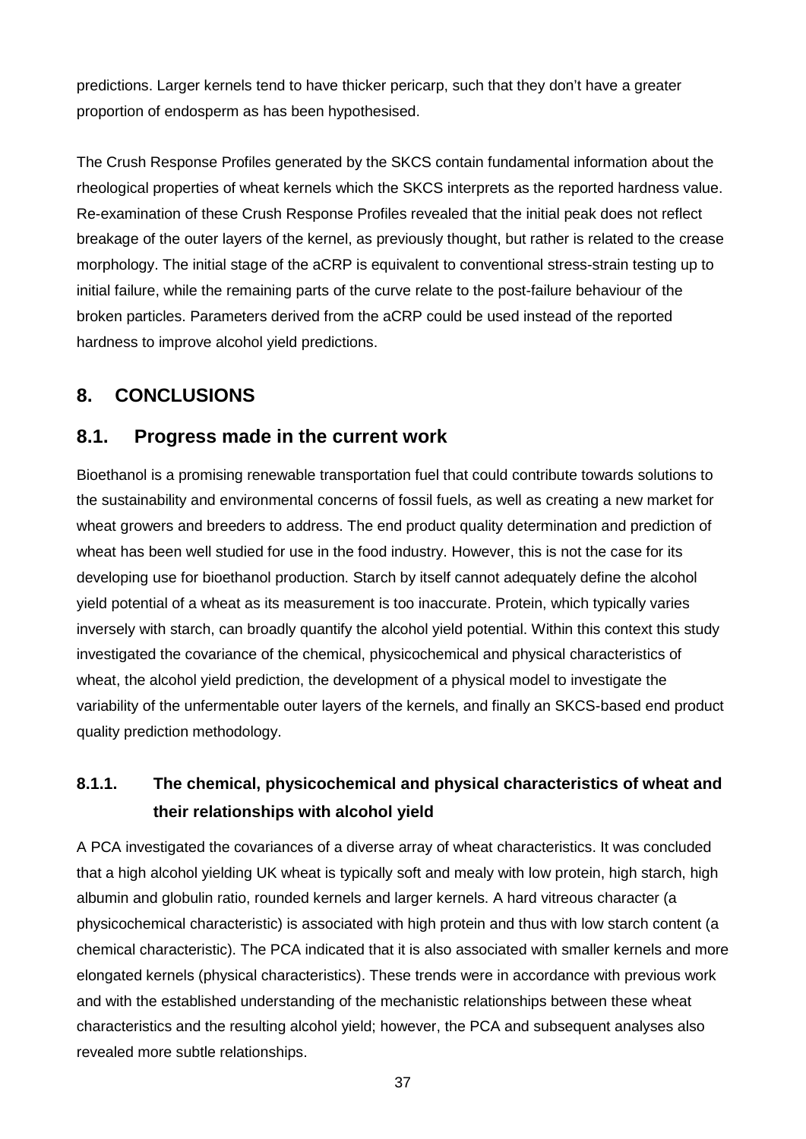predictions. Larger kernels tend to have thicker pericarp, such that they don't have a greater proportion of endosperm as has been hypothesised.

The Crush Response Profiles generated by the SKCS contain fundamental information about the rheological properties of wheat kernels which the SKCS interprets as the reported hardness value. Re-examination of these Crush Response Profiles revealed that the initial peak does not reflect breakage of the outer layers of the kernel, as previously thought, but rather is related to the crease morphology. The initial stage of the aCRP is equivalent to conventional stress-strain testing up to initial failure, while the remaining parts of the curve relate to the post-failure behaviour of the broken particles. Parameters derived from the aCRP could be used instead of the reported hardness to improve alcohol yield predictions.

## **8. CONCLUSIONS**

### **8.1. Progress made in the current work**

Bioethanol is a promising renewable transportation fuel that could contribute towards solutions to the sustainability and environmental concerns of fossil fuels, as well as creating a new market for wheat growers and breeders to address. The end product quality determination and prediction of wheat has been well studied for use in the food industry. However, this is not the case for its developing use for bioethanol production. Starch by itself cannot adequately define the alcohol yield potential of a wheat as its measurement is too inaccurate. Protein, which typically varies inversely with starch, can broadly quantify the alcohol yield potential. Within this context this study investigated the covariance of the chemical, physicochemical and physical characteristics of wheat, the alcohol yield prediction, the development of a physical model to investigate the variability of the unfermentable outer layers of the kernels, and finally an SKCS-based end product quality prediction methodology.

## **8.1.1. The chemical, physicochemical and physical characteristics of wheat and their relationships with alcohol yield**

A PCA investigated the covariances of a diverse array of wheat characteristics. It was concluded that a high alcohol yielding UK wheat is typically soft and mealy with low protein, high starch, high albumin and globulin ratio, rounded kernels and larger kernels. A hard vitreous character (a physicochemical characteristic) is associated with high protein and thus with low starch content (a chemical characteristic). The PCA indicated that it is also associated with smaller kernels and more elongated kernels (physical characteristics). These trends were in accordance with previous work and with the established understanding of the mechanistic relationships between these wheat characteristics and the resulting alcohol yield; however, the PCA and subsequent analyses also revealed more subtle relationships.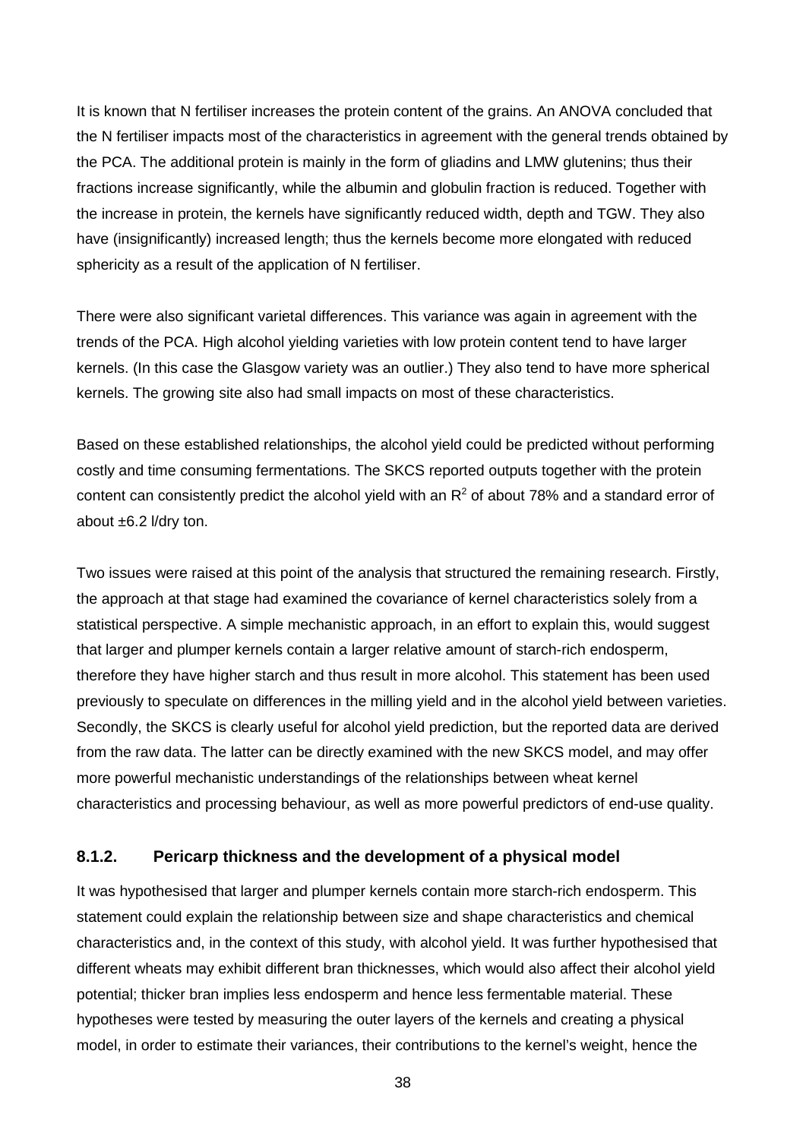It is known that N fertiliser increases the protein content of the grains. An ANOVA concluded that the N fertiliser impacts most of the characteristics in agreement with the general trends obtained by the PCA. The additional protein is mainly in the form of gliadins and LMW glutenins; thus their fractions increase significantly, while the albumin and globulin fraction is reduced. Together with the increase in protein, the kernels have significantly reduced width, depth and TGW. They also have (insignificantly) increased length; thus the kernels become more elongated with reduced sphericity as a result of the application of N fertiliser.

There were also significant varietal differences. This variance was again in agreement with the trends of the PCA. High alcohol yielding varieties with low protein content tend to have larger kernels. (In this case the Glasgow variety was an outlier.) They also tend to have more spherical kernels. The growing site also had small impacts on most of these characteristics.

Based on these established relationships, the alcohol yield could be predicted without performing costly and time consuming fermentations. The SKCS reported outputs together with the protein content can consistently predict the alcohol yield with an  $R^2$  of about 78% and a standard error of about ±6.2 l/dry ton.

Two issues were raised at this point of the analysis that structured the remaining research. Firstly, the approach at that stage had examined the covariance of kernel characteristics solely from a statistical perspective. A simple mechanistic approach, in an effort to explain this, would suggest that larger and plumper kernels contain a larger relative amount of starch-rich endosperm, therefore they have higher starch and thus result in more alcohol. This statement has been used previously to speculate on differences in the milling yield and in the alcohol yield between varieties. Secondly, the SKCS is clearly useful for alcohol yield prediction, but the reported data are derived from the raw data. The latter can be directly examined with the new SKCS model, and may offer more powerful mechanistic understandings of the relationships between wheat kernel characteristics and processing behaviour, as well as more powerful predictors of end-use quality.

#### **8.1.2. Pericarp thickness and the development of a physical model**

It was hypothesised that larger and plumper kernels contain more starch-rich endosperm. This statement could explain the relationship between size and shape characteristics and chemical characteristics and, in the context of this study, with alcohol yield. It was further hypothesised that different wheats may exhibit different bran thicknesses, which would also affect their alcohol yield potential; thicker bran implies less endosperm and hence less fermentable material. These hypotheses were tested by measuring the outer layers of the kernels and creating a physical model, in order to estimate their variances, their contributions to the kernel's weight, hence the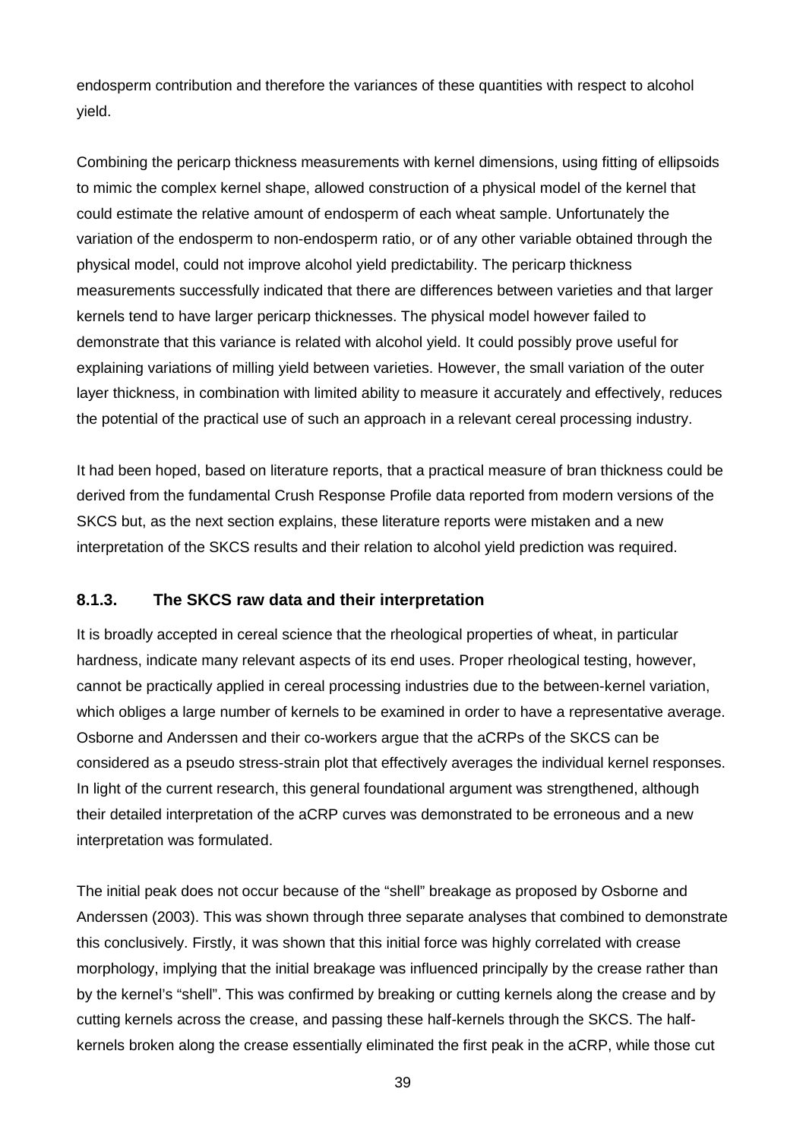endosperm contribution and therefore the variances of these quantities with respect to alcohol yield.

Combining the pericarp thickness measurements with kernel dimensions, using fitting of ellipsoids to mimic the complex kernel shape, allowed construction of a physical model of the kernel that could estimate the relative amount of endosperm of each wheat sample. Unfortunately the variation of the endosperm to non-endosperm ratio, or of any other variable obtained through the physical model, could not improve alcohol yield predictability. The pericarp thickness measurements successfully indicated that there are differences between varieties and that larger kernels tend to have larger pericarp thicknesses. The physical model however failed to demonstrate that this variance is related with alcohol yield. It could possibly prove useful for explaining variations of milling yield between varieties. However, the small variation of the outer layer thickness, in combination with limited ability to measure it accurately and effectively, reduces the potential of the practical use of such an approach in a relevant cereal processing industry.

It had been hoped, based on literature reports, that a practical measure of bran thickness could be derived from the fundamental Crush Response Profile data reported from modern versions of the SKCS but, as the next section explains, these literature reports were mistaken and a new interpretation of the SKCS results and their relation to alcohol yield prediction was required.

### **8.1.3. The SKCS raw data and their interpretation**

It is broadly accepted in cereal science that the rheological properties of wheat, in particular hardness, indicate many relevant aspects of its end uses. Proper rheological testing, however, cannot be practically applied in cereal processing industries due to the between-kernel variation, which obliges a large number of kernels to be examined in order to have a representative average. Osborne and Anderssen and their co-workers argue that the aCRPs of the SKCS can be considered as a pseudo stress-strain plot that effectively averages the individual kernel responses. In light of the current research, this general foundational argument was strengthened, although their detailed interpretation of the aCRP curves was demonstrated to be erroneous and a new interpretation was formulated.

The initial peak does not occur because of the "shell" breakage as proposed by Osborne and Anderssen (2003). This was shown through three separate analyses that combined to demonstrate this conclusively. Firstly, it was shown that this initial force was highly correlated with crease morphology, implying that the initial breakage was influenced principally by the crease rather than by the kernel's "shell". This was confirmed by breaking or cutting kernels along the crease and by cutting kernels across the crease, and passing these half-kernels through the SKCS. The halfkernels broken along the crease essentially eliminated the first peak in the aCRP, while those cut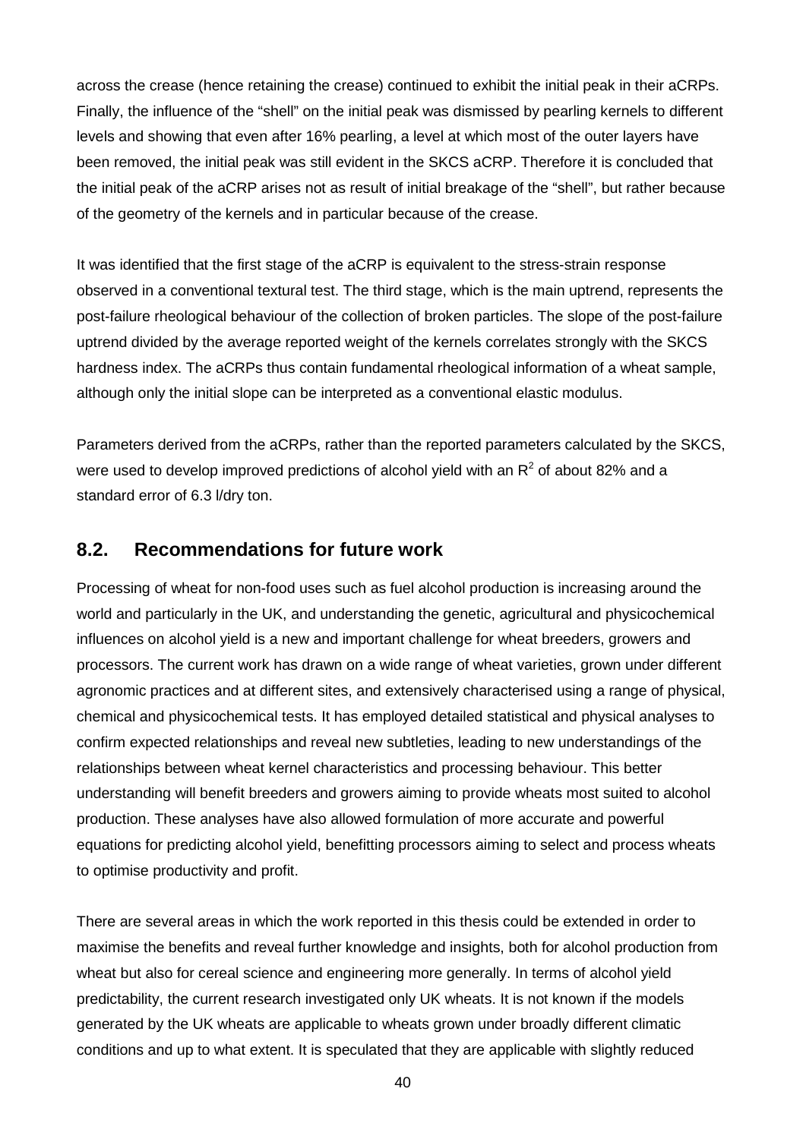across the crease (hence retaining the crease) continued to exhibit the initial peak in their aCRPs. Finally, the influence of the "shell" on the initial peak was dismissed by pearling kernels to different levels and showing that even after 16% pearling, a level at which most of the outer layers have been removed, the initial peak was still evident in the SKCS aCRP. Therefore it is concluded that the initial peak of the aCRP arises not as result of initial breakage of the "shell", but rather because of the geometry of the kernels and in particular because of the crease.

It was identified that the first stage of the aCRP is equivalent to the stress-strain response observed in a conventional textural test. The third stage, which is the main uptrend, represents the post-failure rheological behaviour of the collection of broken particles. The slope of the post-failure uptrend divided by the average reported weight of the kernels correlates strongly with the SKCS hardness index. The aCRPs thus contain fundamental rheological information of a wheat sample, although only the initial slope can be interpreted as a conventional elastic modulus.

Parameters derived from the aCRPs, rather than the reported parameters calculated by the SKCS, were used to develop improved predictions of alcohol vield with an  $R^2$  of about 82% and a standard error of 6.3 l/dry ton.

### **8.2. Recommendations for future work**

Processing of wheat for non-food uses such as fuel alcohol production is increasing around the world and particularly in the UK, and understanding the genetic, agricultural and physicochemical influences on alcohol yield is a new and important challenge for wheat breeders, growers and processors. The current work has drawn on a wide range of wheat varieties, grown under different agronomic practices and at different sites, and extensively characterised using a range of physical, chemical and physicochemical tests. It has employed detailed statistical and physical analyses to confirm expected relationships and reveal new subtleties, leading to new understandings of the relationships between wheat kernel characteristics and processing behaviour. This better understanding will benefit breeders and growers aiming to provide wheats most suited to alcohol production. These analyses have also allowed formulation of more accurate and powerful equations for predicting alcohol yield, benefitting processors aiming to select and process wheats to optimise productivity and profit.

There are several areas in which the work reported in this thesis could be extended in order to maximise the benefits and reveal further knowledge and insights, both for alcohol production from wheat but also for cereal science and engineering more generally. In terms of alcohol yield predictability, the current research investigated only UK wheats. It is not known if the models generated by the UK wheats are applicable to wheats grown under broadly different climatic conditions and up to what extent. It is speculated that they are applicable with slightly reduced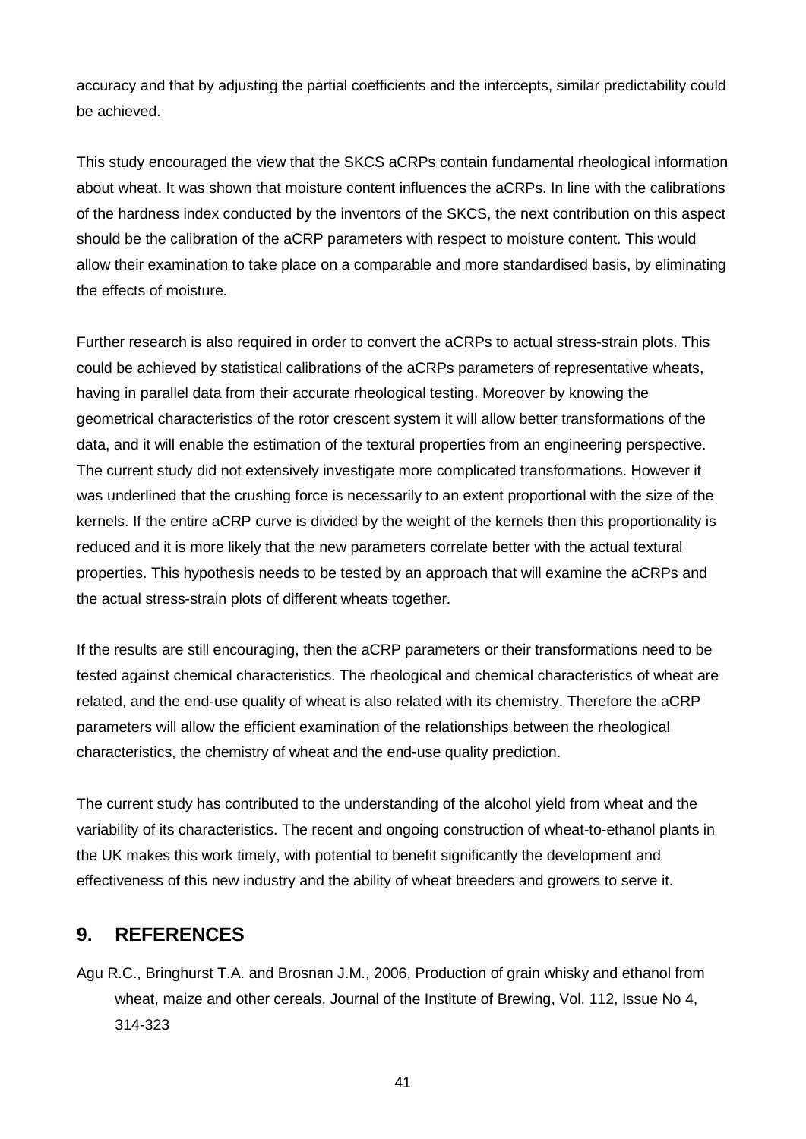accuracy and that by adjusting the partial coefficients and the intercepts, similar predictability could be achieved.

This study encouraged the view that the SKCS aCRPs contain fundamental rheological information about wheat. It was shown that moisture content influences the aCRPs. In line with the calibrations of the hardness index conducted by the inventors of the SKCS, the next contribution on this aspect should be the calibration of the aCRP parameters with respect to moisture content. This would allow their examination to take place on a comparable and more standardised basis, by eliminating the effects of moisture.

Further research is also required in order to convert the aCRPs to actual stress-strain plots. This could be achieved by statistical calibrations of the aCRPs parameters of representative wheats, having in parallel data from their accurate rheological testing. Moreover by knowing the geometrical characteristics of the rotor crescent system it will allow better transformations of the data, and it will enable the estimation of the textural properties from an engineering perspective. The current study did not extensively investigate more complicated transformations. However it was underlined that the crushing force is necessarily to an extent proportional with the size of the kernels. If the entire aCRP curve is divided by the weight of the kernels then this proportionality is reduced and it is more likely that the new parameters correlate better with the actual textural properties. This hypothesis needs to be tested by an approach that will examine the aCRPs and the actual stress-strain plots of different wheats together.

If the results are still encouraging, then the aCRP parameters or their transformations need to be tested against chemical characteristics. The rheological and chemical characteristics of wheat are related, and the end-use quality of wheat is also related with its chemistry. Therefore the aCRP parameters will allow the efficient examination of the relationships between the rheological characteristics, the chemistry of wheat and the end-use quality prediction.

The current study has contributed to the understanding of the alcohol yield from wheat and the variability of its characteristics. The recent and ongoing construction of wheat-to-ethanol plants in the UK makes this work timely, with potential to benefit significantly the development and effectiveness of this new industry and the ability of wheat breeders and growers to serve it.

### **9. REFERENCES**

Agu R.C., Bringhurst T.A. and Brosnan J.M., 2006, Production of grain whisky and ethanol from wheat, maize and other cereals, Journal of the Institute of Brewing, Vol. 112, Issue No 4, 314-323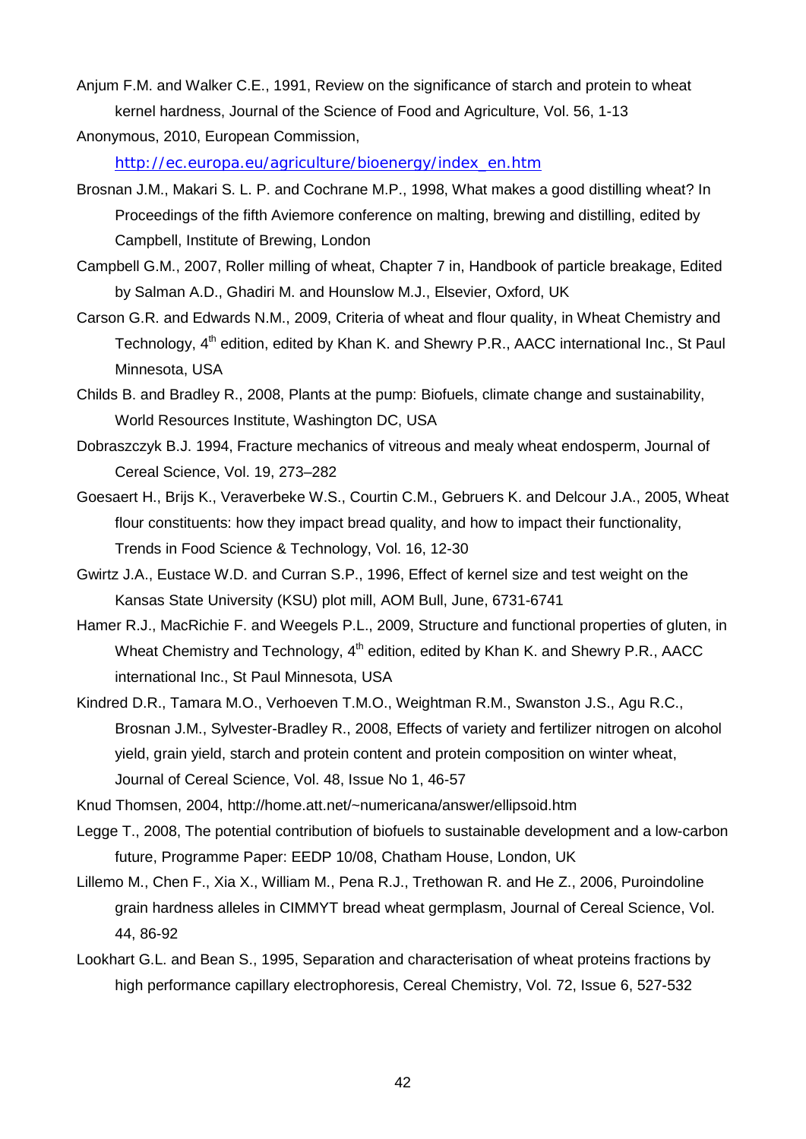Anjum F.M. and Walker C.E., 1991, Review on the significance of starch and protein to wheat kernel hardness, Journal of the Science of Food and Agriculture, Vol. 56, 1-13

Anonymous, 2010, European Commission,

[http://ec.europa.eu/agriculture/bioenergy/index\\_en.htm](http://ec.europa.eu/agriculture/bioenergy/index_en.htm)

- Brosnan J.M., Makari S. L. P. and Cochrane M.P., 1998, What makes a good distilling wheat? In Proceedings of the fifth Aviemore conference on malting, brewing and distilling, edited by Campbell, Institute of Brewing, London
- Campbell G.M., 2007, Roller milling of wheat, Chapter 7 in, Handbook of particle breakage, Edited by Salman A.D., Ghadiri M. and Hounslow M.J., Elsevier, Oxford, UK
- Carson G.R. and Edwards N.M., 2009, Criteria of wheat and flour quality, in Wheat Chemistry and Technology, 4<sup>th</sup> edition, edited by Khan K. and Shewry P.R., AACC international Inc., St Paul Minnesota, USA
- Childs B. and Bradley R., 2008, Plants at the pump: Biofuels, climate change and sustainability, World Resources Institute, Washington DC, USA
- Dobraszczyk B.J. 1994, Fracture mechanics of vitreous and mealy wheat endosperm, Journal of Cereal Science, Vol. 19, 273–282
- Goesaert H., Brijs K., Veraverbeke W.S., Courtin C.M., Gebruers K. and Delcour J.A., 2005, Wheat flour constituents: how they impact bread quality, and how to impact their functionality, Trends in Food Science & Technology, Vol. 16, 12-30
- Gwirtz J.A., Eustace W.D. and Curran S.P., 1996, Effect of kernel size and test weight on the Kansas State University (KSU) plot mill, AOM Bull, June, 6731-6741
- Hamer R.J., MacRichie F. and Weegels P.L., 2009, Structure and functional properties of gluten, in Wheat Chemistry and Technology, 4<sup>th</sup> edition, edited by Khan K, and Shewry P.R., AACC international Inc., St Paul Minnesota, USA
- Kindred D.R., Tamara M.O., Verhoeven T.M.O., Weightman R.M., Swanston J.S., Agu R.C., Brosnan J.M., Sylvester-Bradley R., 2008, Effects of variety and fertilizer nitrogen on alcohol yield, grain yield, starch and protein content and protein composition on winter wheat, Journal of Cereal Science, Vol. 48, Issue No 1, 46-57
- Knud Thomsen, 2004, http://home.att.net/~numericana/answer/ellipsoid.htm
- Legge T., 2008, The potential contribution of biofuels to sustainable development and a low-carbon future, Programme Paper: EEDP 10/08, Chatham House, London, UK
- Lillemo M., Chen F., Xia X., William M., Pena R.J., Trethowan R. and He Z., 2006, Puroindoline grain hardness alleles in CIMMYT bread wheat germplasm, Journal of Cereal Science, Vol. 44, 86-92
- Lookhart G.L. and Bean S., 1995, Separation and characterisation of wheat proteins fractions by high performance capillary electrophoresis, Cereal Chemistry, Vol. 72, Issue 6, 527-532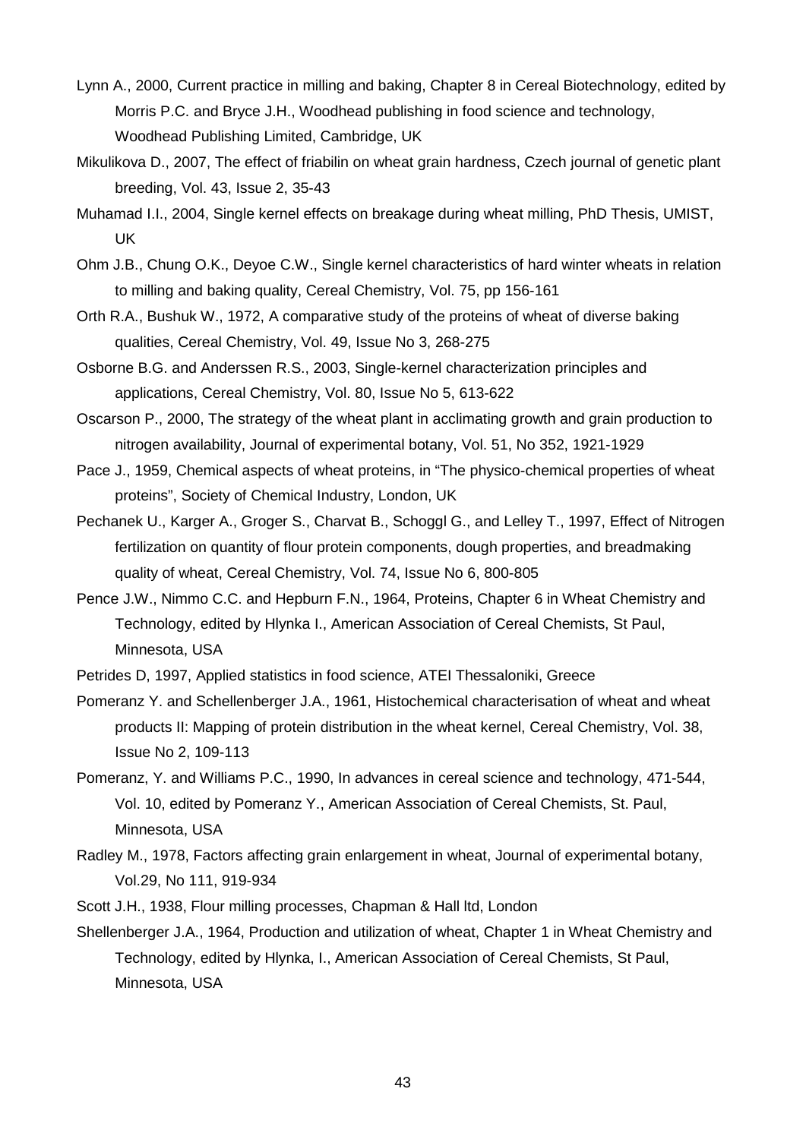- Lynn A., 2000, Current practice in milling and baking, Chapter 8 in Cereal Biotechnology, edited by Morris P.C. and Bryce J.H., Woodhead publishing in food science and technology, Woodhead Publishing Limited, Cambridge, UK
- Mikulikova D., 2007, The effect of friabilin on wheat grain hardness, Czech journal of genetic plant breeding, Vol. 43, Issue 2, 35-43
- Muhamad I.I., 2004, Single kernel effects on breakage during wheat milling, PhD Thesis, UMIST, UK
- Ohm J.B., Chung O.K., Deyoe C.W., Single kernel characteristics of hard winter wheats in relation to milling and baking quality, Cereal Chemistry, Vol. 75, pp 156-161
- Orth R.A., Bushuk W., 1972, A comparative study of the proteins of wheat of diverse baking qualities, Cereal Chemistry, Vol. 49, Issue No 3, 268-275
- Osborne B.G. and Anderssen R.S., 2003, Single-kernel characterization principles and applications, Cereal Chemistry, Vol. 80, Issue No 5, 613-622
- Oscarson P., 2000, The strategy of the wheat plant in acclimating growth and grain production to nitrogen availability, Journal of experimental botany, Vol. 51, No 352, 1921-1929
- Pace J., 1959, Chemical aspects of wheat proteins, in "The physico-chemical properties of wheat proteins", Society of Chemical Industry, London, UK
- Pechanek U., Karger A., Groger S., Charvat B., Schoggl G., and Lelley T., 1997, Effect of Nitrogen fertilization on quantity of flour protein components, dough properties, and breadmaking quality of wheat, Cereal Chemistry, Vol. 74, Issue No 6, 800-805
- Pence J.W., Nimmo C.C. and Hepburn F.N., 1964, Proteins, Chapter 6 in Wheat Chemistry and Technology, edited by Hlynka I., American Association of Cereal Chemists, St Paul, Minnesota, USA
- Petrides D, 1997, Applied statistics in food science, ATEI Thessaloniki, Greece
- Pomeranz Y. and Schellenberger J.A., 1961, Histochemical characterisation of wheat and wheat products II: Mapping of protein distribution in the wheat kernel, Cereal Chemistry, Vol. 38, Issue No 2, 109-113
- Pomeranz, Y. and Williams P.C., 1990, In advances in cereal science and technology, 471-544, Vol. 10, edited by Pomeranz Y., American Association of Cereal Chemists, St. Paul, Minnesota, USA
- Radley M., 1978, Factors affecting grain enlargement in wheat, Journal of experimental botany, Vol.29, No 111, 919-934
- Scott J.H., 1938, Flour milling processes, Chapman & Hall ltd, London
- Shellenberger J.A., 1964, Production and utilization of wheat, Chapter 1 in Wheat Chemistry and Technology, edited by Hlynka, I., American Association of Cereal Chemists, St Paul, Minnesota, USA